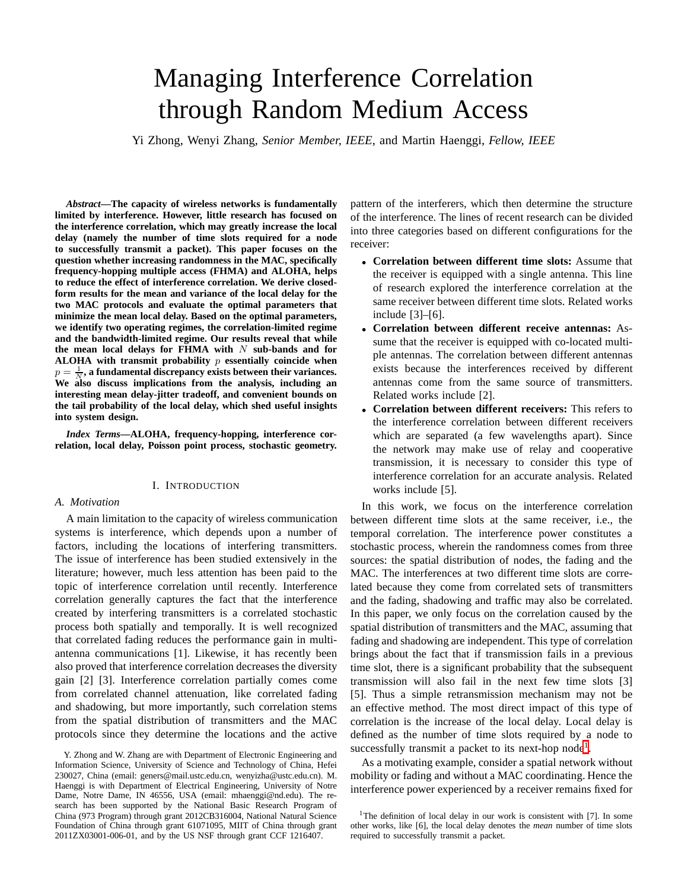# Managing Interference Correlation through Random Medium Access

Yi Zhong, Wenyi Zhang, *Senior Member, IEEE*, and Martin Haenggi, *Fellow, IEEE*

*Abstract***—The capacity of wireless networks is fundamentally limited by interference. However, little research has focused on the interference correlation, which may greatly increase the local delay (namely the number of time slots required for a node to successfully transmit a packet). This paper focuses on the question whether increasing randomness in the MAC, specifically frequency-hopping multiple access (FHMA) and ALOHA, helps to reduce the effect of interference correlation. We derive closedform results for the mean and variance of the local delay for the two MAC protocols and evaluate the optimal parameters that minimize the mean local delay. Based on the optimal parameters, we identify two operating regimes, the correlation-limited regime and the bandwidth-limited regime. Our results reveal that while the mean local delays for FHMA with** N **sub-bands and for ALOHA with transmit probability** p **essentially coincide when**  $p = \frac{1}{N}$ , a fundamental discrepancy exists between their variances. **We also discuss implications from the analysis, including an interesting mean delay-jitter tradeoff, and convenient bounds on the tail probability of the local delay, which shed useful insights into system design.**

*Index Terms***—ALOHA, frequency-hopping, interference correlation, local delay, Poisson point process, stochastic geometry.**

#### I. INTRODUCTION

## *A. Motivation*

A main limitation to the capacity of wireless communication systems is interference, which depends upon a number of factors, including the locations of interfering transmitters. The issue of interference has been studied extensively in the literature; however, much less attention has been paid to the topic of interference correlation until recently. Interference correlation generally captures the fact that the interference created by interfering transmitters is a correlated stochastic process both spatially and temporally. It is well recognized that correlated fading reduces the performance gain in multiantenna communications [1]. Likewise, it has recently been also proved that interference correlation decreases the diversity gain [2] [3]. Interference correlation partially comes come from correlated channel attenuation, like correlated fading and shadowing, but more importantly, such correlation stems from the spatial distribution of transmitters and the MAC protocols since they determine the locations and the active

pattern of the interferers, which then determine the structure of the interference. The lines of recent research can be divided into three categories based on different configurations for the receiver:

- **Correlation between different time slots:** Assume that the receiver is equipped with a single antenna. This line of research explored the interference correlation at the same receiver between different time slots. Related works include [3]–[6].
- **Correlation between different receive antennas:** Assume that the receiver is equipped with co-located multiple antennas. The correlation between different antennas exists because the interferences received by different antennas come from the same source of transmitters. Related works include [2].
- **Correlation between different receivers:** This refers to the interference correlation between different receivers which are separated (a few wavelengths apart). Since the network may make use of relay and cooperative transmission, it is necessary to consider this type of interference correlation for an accurate analysis. Related works include [5].

In this work, we focus on the interference correlation between different time slots at the same receiver, i.e., the temporal correlation. The interference power constitutes a stochastic process, wherein the randomness comes from three sources: the spatial distribution of nodes, the fading and the MAC. The interferences at two different time slots are correlated because they come from correlated sets of transmitters and the fading, shadowing and traffic may also be correlated. In this paper, we only focus on the correlation caused by the spatial distribution of transmitters and the MAC, assuming that fading and shadowing are independent. This type of correlation brings about the fact that if transmission fails in a previous time slot, there is a significant probability that the subsequent transmission will also fail in the next few time slots [3] [5]. Thus a simple retransmission mechanism may not be an effective method. The most direct impact of this type of correlation is the increase of the local delay. Local delay is defined as the number of time slots required by a node to successfully transmit a packet to its next-hop node<sup>[1](#page-0-0)</sup>.

As a motivating example, consider a spatial network without mobility or fading and without a MAC coordinating. Hence the interference power experienced by a receiver remains fixed for

Y. Zhong and W. Zhang are with Department of Electronic Engineering and Information Science, University of Science and Technology of China, Hefei 230027, China (email: geners@mail.ustc.edu.cn, wenyizha@ustc.edu.cn). M. Haenggi is with Department of Electrical Engineering, University of Notre Dame, Notre Dame, IN 46556, USA (email: mhaenggi@nd.edu). The research has been supported by the National Basic Research Program of China (973 Program) through grant 2012CB316004, National Natural Science Foundation of China through grant 61071095, MIIT of China through grant 2011ZX03001-006-01, and by the US NSF through grant CCF 1216407.

<span id="page-0-0"></span><sup>&</sup>lt;sup>1</sup>The definition of local delay in our work is consistent with [7]. In some other works, like [6], the local delay denotes the *mean* number of time slots required to successfully transmit a packet.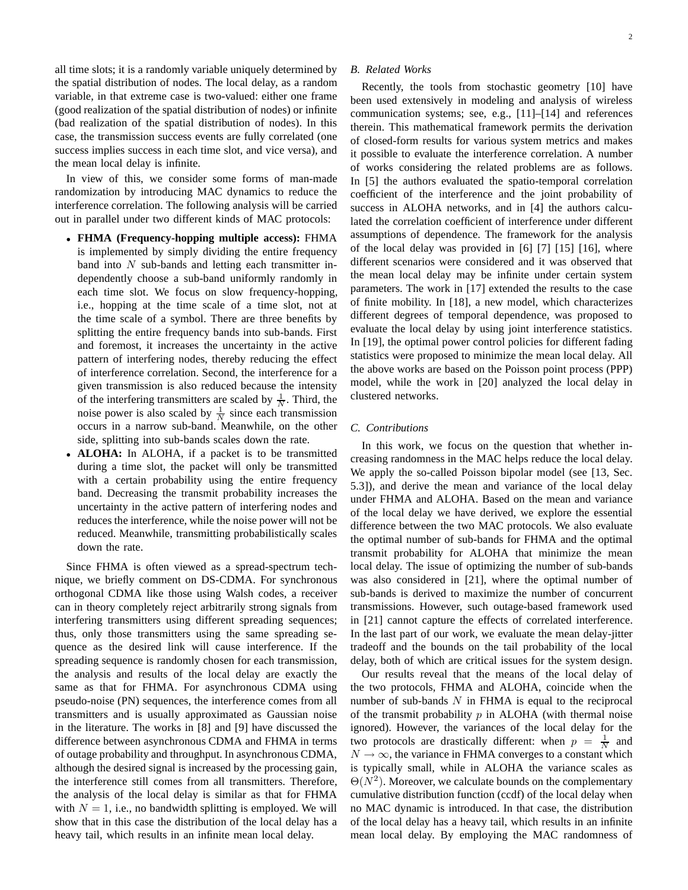all time slots; it is a randomly variable uniquely determined by the spatial distribution of nodes. The local delay, as a random variable, in that extreme case is two-valued: either one frame (good realization of the spatial distribution of nodes) or infinite (bad realization of the spatial distribution of nodes). In this case, the transmission success events are fully correlated (one success implies success in each time slot, and vice versa), and the mean local delay is infinite.

In view of this, we consider some forms of man-made randomization by introducing MAC dynamics to reduce the interference correlation. The following analysis will be carried out in parallel under two different kinds of MAC protocols:

- **FHMA (Frequency-hopping multiple access):** FHMA is implemented by simply dividing the entire frequency band into  $N$  sub-bands and letting each transmitter independently choose a sub-band uniformly randomly in each time slot. We focus on slow frequency-hopping, i.e., hopping at the time scale of a time slot, not at the time scale of a symbol. There are three benefits by splitting the entire frequency bands into sub-bands. First and foremost, it increases the uncertainty in the active pattern of interfering nodes, thereby reducing the effect of interference correlation. Second, the interference for a given transmission is also reduced because the intensity of the interfering transmitters are scaled by  $\frac{1}{N}$ . Third, the noise power is also scaled by  $\frac{1}{N}$  since each transmission occurs in a narrow sub-band. Meanwhile, on the other side, splitting into sub-bands scales down the rate.
- **ALOHA:** In ALOHA, if a packet is to be transmitted during a time slot, the packet will only be transmitted with a certain probability using the entire frequency band. Decreasing the transmit probability increases the uncertainty in the active pattern of interfering nodes and reduces the interference, while the noise power will not be reduced. Meanwhile, transmitting probabilistically scales down the rate.

Since FHMA is often viewed as a spread-spectrum technique, we briefly comment on DS-CDMA. For synchronous orthogonal CDMA like those using Walsh codes, a receiver can in theory completely reject arbitrarily strong signals from interfering transmitters using different spreading sequences; thus, only those transmitters using the same spreading sequence as the desired link will cause interference. If the spreading sequence is randomly chosen for each transmission, the analysis and results of the local delay are exactly the same as that for FHMA. For asynchronous CDMA using pseudo-noise (PN) sequences, the interference comes from all transmitters and is usually approximated as Gaussian noise in the literature. The works in [8] and [9] have discussed the difference between asynchronous CDMA and FHMA in terms of outage probability and throughput. In asynchronous CDMA, although the desired signal is increased by the processing gain, the interference still comes from all transmitters. Therefore, the analysis of the local delay is similar as that for FHMA with  $N = 1$ , i.e., no bandwidth splitting is employed. We will show that in this case the distribution of the local delay has a heavy tail, which results in an infinite mean local delay.

#### *B. Related Works*

Recently, the tools from stochastic geometry [10] have been used extensively in modeling and analysis of wireless communication systems; see, e.g., [11]–[14] and references therein. This mathematical framework permits the derivation of closed-form results for various system metrics and makes it possible to evaluate the interference correlation. A number of works considering the related problems are as follows. In [5] the authors evaluated the spatio-temporal correlation coefficient of the interference and the joint probability of success in ALOHA networks, and in [4] the authors calculated the correlation coefficient of interference under different assumptions of dependence. The framework for the analysis of the local delay was provided in [6] [7] [15] [16], where different scenarios were considered and it was observed that the mean local delay may be infinite under certain system parameters. The work in [17] extended the results to the case of finite mobility. In [18], a new model, which characterizes different degrees of temporal dependence, was proposed to evaluate the local delay by using joint interference statistics. In [19], the optimal power control policies for different fading statistics were proposed to minimize the mean local delay. All the above works are based on the Poisson point process (PPP) model, while the work in [20] analyzed the local delay in clustered networks.

## *C. Contributions*

In this work, we focus on the question that whether increasing randomness in the MAC helps reduce the local delay. We apply the so-called Poisson bipolar model (see [13, Sec. 5.3]), and derive the mean and variance of the local delay under FHMA and ALOHA. Based on the mean and variance of the local delay we have derived, we explore the essential difference between the two MAC protocols. We also evaluate the optimal number of sub-bands for FHMA and the optimal transmit probability for ALOHA that minimize the mean local delay. The issue of optimizing the number of sub-bands was also considered in [21], where the optimal number of sub-bands is derived to maximize the number of concurrent transmissions. However, such outage-based framework used in [21] cannot capture the effects of correlated interference. In the last part of our work, we evaluate the mean delay-jitter tradeoff and the bounds on the tail probability of the local delay, both of which are critical issues for the system design.

Our results reveal that the means of the local delay of the two protocols, FHMA and ALOHA, coincide when the number of sub-bands  $N$  in FHMA is equal to the reciprocal of the transmit probability  $p$  in ALOHA (with thermal noise ignored). However, the variances of the local delay for the two protocols are drastically different: when  $p = \frac{1}{N}$  and  $N \to \infty$ , the variance in FHMA converges to a constant which is typically small, while in ALOHA the variance scales as  $\Theta(N^2)$ . Moreover, we calculate bounds on the complementary cumulative distribution function (ccdf) of the local delay when no MAC dynamic is introduced. In that case, the distribution of the local delay has a heavy tail, which results in an infinite mean local delay. By employing the MAC randomness of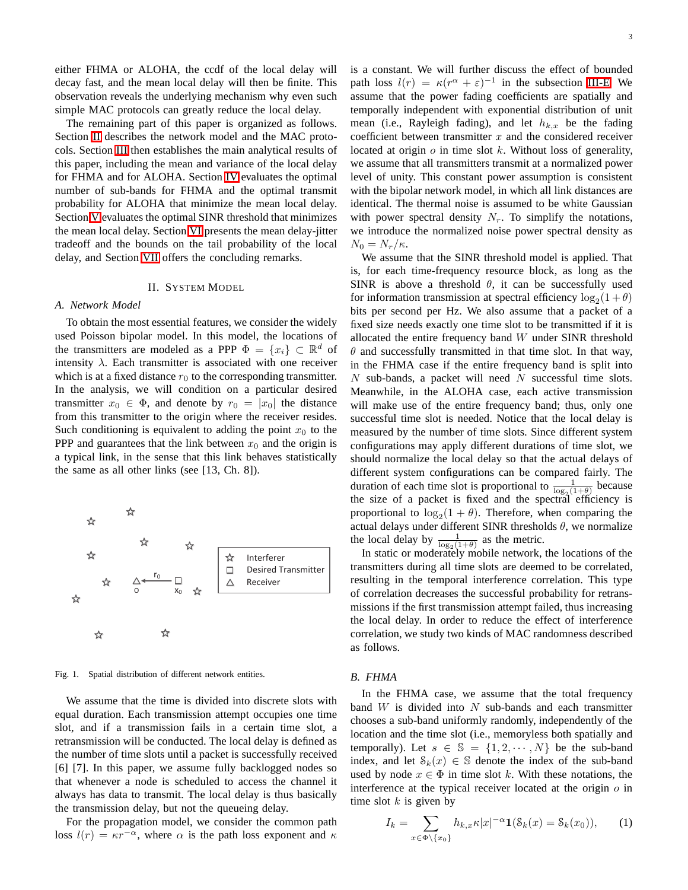either FHMA or ALOHA, the ccdf of the local delay will decay fast, and the mean local delay will then be finite. This observation reveals the underlying mechanism why even such simple MAC protocols can greatly reduce the local delay.

The remaining part of this paper is organized as follows. Section [II](#page-2-0) describes the network model and the MAC protocols. Section [III](#page-3-0) then establishes the main analytical results of this paper, including the mean and variance of the local delay for FHMA and for ALOHA. Section [IV](#page-8-0) evaluates the optimal number of sub-bands for FHMA and the optimal transmit probability for ALOHA that minimize the mean local delay. Section [V](#page-10-0) evaluates the optimal SINR threshold that minimizes the mean local delay. Section [VI](#page-11-0) presents the mean delay-jitter tradeoff and the bounds on the tail probability of the local delay, and Section [VII](#page-11-1) offers the concluding remarks.

#### II. SYSTEM MODEL

#### <span id="page-2-0"></span>*A. Network Model*

To obtain the most essential features, we consider the widely used Poisson bipolar model. In this model, the locations of the transmitters are modeled as a PPP  $\Phi = \{x_i\} \subset \mathbb{R}^d$  of intensity  $\lambda$ . Each transmitter is associated with one receiver which is at a fixed distance  $r_0$  to the corresponding transmitter. In the analysis, we will condition on a particular desired transmitter  $x_0 \in \Phi$ , and denote by  $r_0 = |x_0|$  the distance from this transmitter to the origin where the receiver resides. Such conditioning is equivalent to adding the point  $x_0$  to the PPP and guarantees that the link between  $x_0$  and the origin is a typical link, in the sense that this link behaves statistically the same as all other links (see [13, Ch. 8]).



Fig. 1. Spatial distribution of different network entities.

We assume that the time is divided into discrete slots with equal duration. Each transmission attempt occupies one time slot, and if a transmission fails in a certain time slot, a retransmission will be conducted. The local delay is defined as the number of time slots until a packet is successfully received [6] [7]. In this paper, we assume fully backlogged nodes so that whenever a node is scheduled to access the channel it always has data to transmit. The local delay is thus basically the transmission delay, but not the queueing delay.

For the propagation model, we consider the common path loss  $l(r) = \kappa r^{-\alpha}$ , where  $\alpha$  is the path loss exponent and  $\kappa$  is a constant. We will further discuss the effect of bounded path loss  $l(r) = \kappa (r^{\alpha} + \varepsilon)^{-1}$  in the subsection [III-E.](#page-8-1) We assume that the power fading coefficients are spatially and temporally independent with exponential distribution of unit mean (i.e., Rayleigh fading), and let  $h_{k,x}$  be the fading coefficient between transmitter  $x$  and the considered receiver located at origin  $o$  in time slot  $k$ . Without loss of generality, we assume that all transmitters transmit at a normalized power level of unity. This constant power assumption is consistent with the bipolar network model, in which all link distances are identical. The thermal noise is assumed to be white Gaussian with power spectral density  $N_r$ . To simplify the notations, we introduce the normalized noise power spectral density as  $N_0 = N_r/\kappa$ .

We assume that the SINR threshold model is applied. That is, for each time-frequency resource block, as long as the SINR is above a threshold  $\theta$ , it can be successfully used for information transmission at spectral efficiency  $\log_2(1+\theta)$ bits per second per Hz. We also assume that a packet of a fixed size needs exactly one time slot to be transmitted if it is allocated the entire frequency band  $W$  under SINR threshold  $\theta$  and successfully transmitted in that time slot. In that way, in the FHMA case if the entire frequency band is split into  $N$  sub-bands, a packet will need  $N$  successful time slots. Meanwhile, in the ALOHA case, each active transmission will make use of the entire frequency band; thus, only one successful time slot is needed. Notice that the local delay is measured by the number of time slots. Since different system configurations may apply different durations of time slot, we should normalize the local delay so that the actual delays of different system configurations can be compared fairly. The duration of each time slot is proportional to  $\frac{1}{\log_2(1+\theta)}$  because the size of a packet is fixed and the spectral efficiency is proportional to  $\log_2(1+\theta)$ . Therefore, when comparing the actual delays under different SINR thresholds  $\theta$ , we normalize the local delay by  $\frac{1}{\log_2(1+\theta)}$  as the metric.

In static or moderately mobile network, the locations of the transmitters during all time slots are deemed to be correlated, resulting in the temporal interference correlation. This type of correlation decreases the successful probability for retransmissions if the first transmission attempt failed, thus increasing the local delay. In order to reduce the effect of interference correlation, we study two kinds of MAC randomness described as follows.

## *B. FHMA*

In the FHMA case, we assume that the total frequency band  $W$  is divided into  $N$  sub-bands and each transmitter chooses a sub-band uniformly randomly, independently of the location and the time slot (i.e., memoryless both spatially and temporally). Let  $s \in \mathbb{S} = \{1, 2, \dots, N\}$  be the sub-band index, and let  $S_k(x) \in \mathbb{S}$  denote the index of the sub-band used by node  $x \in \Phi$  in time slot k. With these notations, the interference at the typical receiver located at the origin  $\sigma$  in time slot  $k$  is given by

$$
I_k = \sum_{x \in \Phi \setminus \{x_0\}} h_{k,x} \kappa |x|^{-\alpha} \mathbf{1}(\mathcal{S}_k(x) = \mathcal{S}_k(x_0)), \quad (1)
$$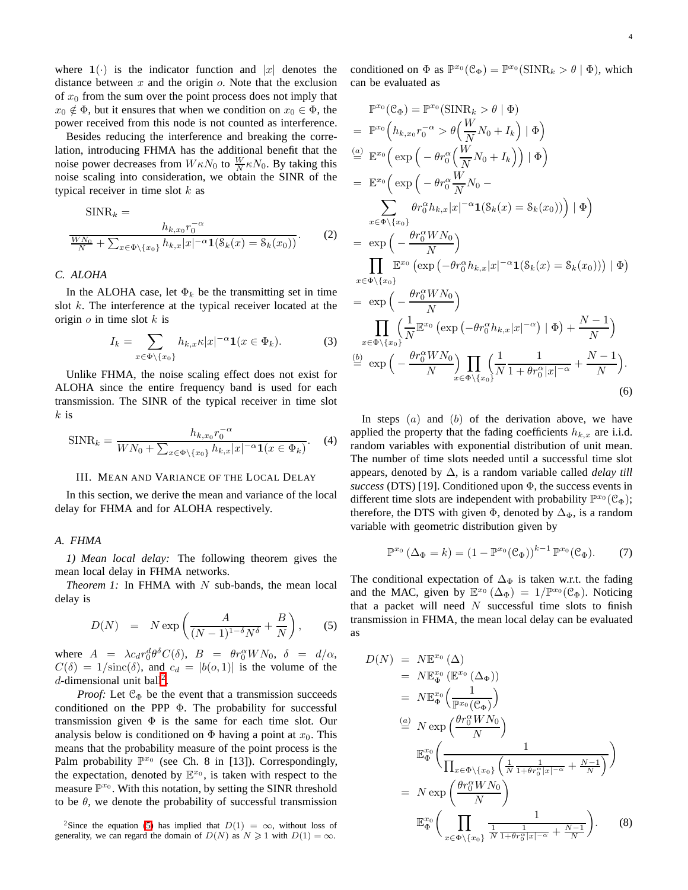where  $1(\cdot)$  is the indicator function and |x| denotes the distance between  $x$  and the origin  $\alpha$ . Note that the exclusion of  $x_0$  from the sum over the point process does not imply that  $x_0 \notin \Phi$ , but it ensures that when we condition on  $x_0 \in \Phi$ , the power received from this node is not counted as interference.

Besides reducing the interference and breaking the correlation, introducing FHMA has the additional benefit that the noise power decreases from  $W \kappa N_0$  to  $\frac{W}{N} \kappa N_0$ . By taking this noise scaling into consideration, we obtain the SINR of the typical receiver in time slot  $k$  as

$$
SINR_{k} = h_{k,x_{0}}r_{0}^{-\alpha}
$$
  

$$
\frac{WN_{0}}{N} + \sum_{x \in \Phi \setminus \{x_{0}\}} h_{k,x}|x|^{-\alpha} \mathbf{1}(\delta_{k}(x) = \delta_{k}(x_{0}))
$$
 (2)

*C. ALOHA*

In the ALOHA case, let  $\Phi_k$  be the transmitting set in time slot  $k$ . The interference at the typical receiver located at the origin  $o$  in time slot  $k$  is

$$
I_k = \sum_{x \in \Phi \setminus \{x_0\}} h_{k,x} \kappa |x|^{-\alpha} \mathbf{1}(x \in \Phi_k). \tag{3}
$$

Unlike FHMA, the noise scaling effect does not exist for ALOHA since the entire frequency band is used for each transmission. The SINR of the typical receiver in time slot  $k$  is

$$
\text{SINR}_k = \frac{h_{k,x_0} r_0^{-\alpha}}{WN_0 + \sum_{x \in \Phi \setminus \{x_0\}} h_{k,x} |x|^{-\alpha} \mathbf{1}(x \in \Phi_k)}.
$$
 (4)

## III. MEAN AND VARIANCE OF THE LOCAL DELAY

<span id="page-3-0"></span>In this section, we derive the mean and variance of the local delay for FHMA and for ALOHA respectively.

## *A. FHMA*

*1) Mean local delay:* The following theorem gives the mean local delay in FHMA networks.

*Theorem 1:* In FHMA with  $N$  sub-bands, the mean local delay is

<span id="page-3-4"></span>
$$
D(N) = N \exp\left(\frac{A}{(N-1)^{1-\delta}N^{\delta}} + \frac{B}{N}\right), \quad (5)
$$

<span id="page-3-2"></span>where  $A = \lambda c_d r_0^d \theta^{\delta} C(\delta)$ ,  $B = \theta r_0^{\alpha} W N_0$ ,  $\delta = d/\alpha$ ,  $C(\delta) = 1/\text{sinc}(\delta)$ , and  $c_d = |b(o, 1)|$  is the volume of the  $d$ -dimensional unit ball<sup>[2](#page-3-1)</sup>.

*Proof:* Let  $\mathcal{C}_{\Phi}$  be the event that a transmission succeeds conditioned on the PPP Φ. The probability for successful transmission given  $\Phi$  is the same for each time slot. Our analysis below is conditioned on  $\Phi$  having a point at  $x_0$ . This means that the probability measure of the point process is the Palm probability  $\mathbb{P}^{x_0}$  (see Ch. 8 in [13]). Correspondingly, the expectation, denoted by  $\mathbb{E}^{x_0}$ , is taken with respect to the measure  $\mathbb{P}^{x_0}$ . With this notation, by setting the SINR threshold to be  $\theta$ , we denote the probability of successful transmission

conditioned on  $\Phi$  as  $\mathbb{P}^{x_0}(\mathcal{C}_{\Phi}) = \mathbb{P}^{x_0}(\text{SINR}_k > \theta | \Phi)$ , which can be evaluated as

<span id="page-3-3"></span>
$$
\mathbb{P}^{x_0}(\mathcal{C}_{\Phi}) = \mathbb{P}^{x_0}(\text{SINR}_k > \theta | \Phi)
$$
\n
$$
= \mathbb{P}^{x_0} (h_{k,x_0}r_0^{-\alpha} > \theta \Big(\frac{W}{N}N_0 + I_k\Big) | \Phi\Big)
$$
\n
$$
\stackrel{(a)}{=} \mathbb{E}^{x_0} \Big(\exp\Big(-\theta r_0^{\alpha} \Big(\frac{W}{N}N_0 + I_k\Big)\Big) | \Phi\Big)
$$
\n
$$
= \mathbb{E}^{x_0} \Big(\exp\Big(-\theta r_0^{\alpha} \frac{W}{N}N_0 - \sum_{x \in \Phi \setminus \{x_0\}} \theta r_0^{\alpha} h_{k,x}|x|^{-\alpha} \mathbf{1}(\mathcal{S}_k(x) = \mathcal{S}_k(x_0))\Big) | \Phi\Big)
$$
\n
$$
= \exp\Big(-\frac{\theta r_0^{\alpha} W N_0}{N}\Big)
$$
\n
$$
\prod_{x \in \Phi \setminus \{x_0\}} \mathbb{E}^{x_0} \Big(\exp\Big(-\theta r_0^{\alpha} h_{k,x}|x|^{-\alpha} \mathbf{1}(\mathcal{S}_k(x) = \mathcal{S}_k(x_0))\Big) | \Phi\Big)
$$
\n
$$
= \exp\Big(-\frac{\theta r_0^{\alpha} W N_0}{N}\Big)
$$
\n
$$
\prod_{x \in \Phi \setminus \{x_0\}} \Big(\frac{1}{N} \mathbb{E}^{x_0} \Big(\exp\Big(-\theta r_0^{\alpha} h_{k,x}|x|^{-\alpha}\Big) | \Phi\Big) + \frac{N-1}{N}\Big)
$$
\n
$$
\stackrel{(b)}{=} \exp\Big(-\frac{\theta r_0^{\alpha} W N_0}{N}\Big) \prod_{x \in \Phi \setminus \{x_0\}} \Big(\frac{1}{N} \frac{1}{1 + \theta r_0^{\alpha} |x|^{-\alpha}} + \frac{N-1}{N}\Big).
$$
\n
$$
(6)
$$

In steps  $(a)$  and  $(b)$  of the derivation above, we have applied the property that the fading coefficients  $h_{k,x}$  are i.i.d. random variables with exponential distribution of unit mean. The number of time slots needed until a successful time slot appears, denoted by ∆, is a random variable called *delay till success* (DTS) [19]. Conditioned upon Φ, the success events in different time slots are independent with probability  $\mathbb{P}^{x_0}(\mathcal{C}_\Phi)$ ; therefore, the DTS with given  $\Phi$ , denoted by  $\Delta_{\Phi}$ , is a random variable with geometric distribution given by

$$
\mathbb{P}^{x_0} \left( \Delta_{\Phi} = k \right) = \left( 1 - \mathbb{P}^{x_0}(\mathcal{C}_{\Phi}) \right)^{k-1} \mathbb{P}^{x_0}(\mathcal{C}_{\Phi}). \tag{7}
$$

<span id="page-3-5"></span>The conditional expectation of  $\Delta_{\Phi}$  is taken w.r.t. the fading and the MAC, given by  $\mathbb{E}^{x_0}(\Delta_{\Phi}) = 1/\mathbb{P}^{x_0}(\mathcal{C}_{\Phi})$ . Noticing that a packet will need  $N$  successful time slots to finish transmission in FHMA, the mean local delay can be evaluated as

$$
D(N) = N \mathbb{E}^{x_0} (\Delta)
$$
  
\n
$$
= N \mathbb{E}_{\Phi}^{x_0} (\mathbb{E}^{x_0} (\Delta_{\Phi}))
$$
  
\n
$$
= N \mathbb{E}_{\Phi}^{x_0} \left( \frac{1}{\mathbb{P}^{x_0} (\mathbb{C}_{\Phi})} \right)
$$
  
\n
$$
\stackrel{(a)}{=} N \exp \left( \frac{\theta r_0^{\alpha} W N_0}{N} \right)
$$
  
\n
$$
\mathbb{E}_{\Phi}^{x_0} \left( \frac{1}{\prod_{x \in \Phi \setminus \{x_0\}} \left( \frac{1}{N} \frac{1}{1 + \theta r_0^{\alpha} |x|^{-\alpha}} + \frac{N - 1}{N} \right)} \right)
$$
  
\n
$$
= N \exp \left( \frac{\theta r_0^{\alpha} W N_0}{N} \right)
$$
  
\n
$$
\mathbb{E}_{\Phi}^{x_0} \left( \prod_{x \in \Phi \setminus \{x_0\}} \frac{1}{\frac{1}{N} \frac{1}{1 + \theta r_0^{\alpha} |x|^{-\alpha}} + \frac{N - 1}{N}} \right).
$$
 (8)

<span id="page-3-1"></span><sup>&</sup>lt;sup>2</sup>Since the equation [\(5\)](#page-3-2) has implied that  $D(1) = \infty$ , without loss of generality, we can regard the domain of  $D(N)$  as  $N \geq 1$  with  $D(1) = \infty$ .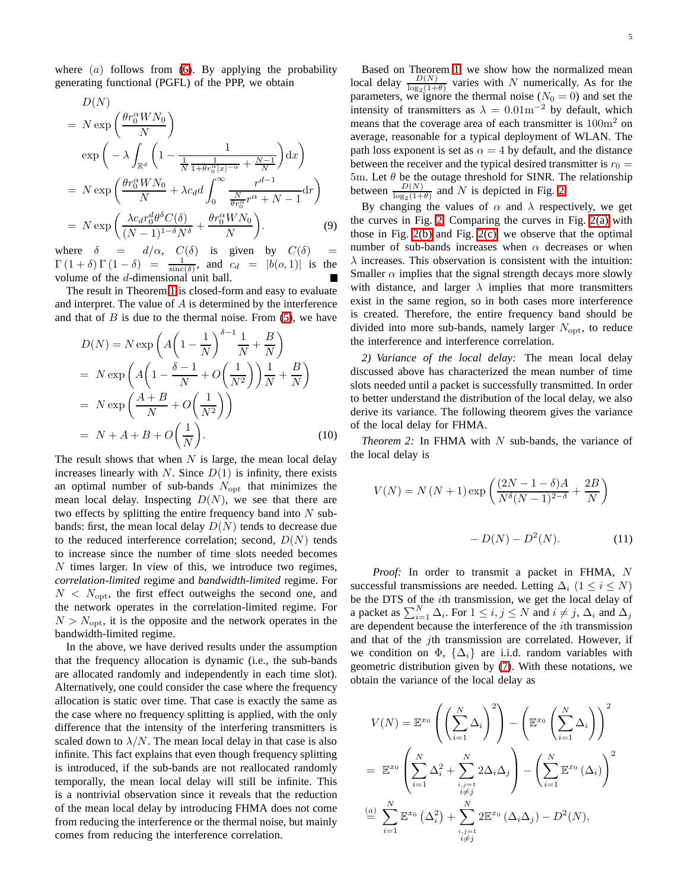where  $(a)$  follows from  $(6)$ . By applying the probability generating functional (PGFL) of the PPP, we obtain

$$
D(N)
$$
  
=  $N \exp\left(\frac{\theta r_0^{\alpha} W N_0}{N}\right)$   

$$
\exp\left(-\lambda \int_{\mathbb{R}^d} \left(1 - \frac{1}{\frac{1}{N} \frac{1}{1 + \theta r_0^{\alpha} |x|^{-\alpha}} + \frac{N-1}{N}}\right) dx\right)
$$
  
=  $N \exp\left(\frac{\theta r_0^{\alpha} W N_0}{N} + \lambda c_d d \int_0^{\infty} \frac{r^{d-1}}{\frac{N}{\theta r_0^{\alpha}} r^{\alpha} + N - 1} dr\right)$   
=  $N \exp\left(\frac{\lambda c_d r_0^d \theta^{\delta} C(\delta)}{(N-1)^{1-\delta} N^{\delta}} + \frac{\theta r_0^{\alpha} W N_0}{N}\right).$  (9)

where  $\delta = d/\alpha$ ,  $C(\delta)$  is given by  $C(\delta)$  =  $\Gamma(1+\delta)\Gamma(1-\delta) = \frac{1}{\sin(c\delta)}, \text{ and } c_d = |b(o, 1)| \text{ is the}$ volume of the  $d$ -dimensional unit ball.

The result in Theorem [1](#page-3-4) is closed-form and easy to evaluate and interpret. The value of A is determined by the interference and that of  $B$  is due to the thermal noise. From  $(5)$ , we have

$$
D(N) = N \exp\left(A\left(1 - \frac{1}{N}\right)^{\delta - 1} \frac{1}{N} + \frac{B}{N}\right)
$$
  
=  $N \exp\left(A\left(1 - \frac{\delta - 1}{N} + O\left(\frac{1}{N^2}\right)\right) \frac{1}{N} + \frac{B}{N}\right)$   
=  $N \exp\left(\frac{A + B}{N} + O\left(\frac{1}{N^2}\right)\right)$   
=  $N + A + B + O\left(\frac{1}{N}\right).$  (10)

The result shows that when  $N$  is large, the mean local delay increases linearly with  $N$ . Since  $D(1)$  is infinity, there exists an optimal number of sub-bands  $N_{\text{opt}}$  that minimizes the mean local delay. Inspecting  $D(N)$ , we see that there are two effects by splitting the entire frequency band into  $N$  subbands: first, the mean local delay  $D(N)$  tends to decrease due to the reduced interference correlation; second,  $D(N)$  tends to increase since the number of time slots needed becomes  $N$  times larger. In view of this, we introduce two regimes, *correlation-limited* regime and *bandwidth-limited* regime. For  $N < N_{\text{opt}}$ , the first effect outweighs the second one, and the network operates in the correlation-limited regime. For  $N > N_{\text{opt}}$ , it is the opposite and the network operates in the bandwidth-limited regime.

In the above, we have derived results under the assumption that the frequency allocation is dynamic (i.e., the sub-bands are allocated randomly and independently in each time slot). Alternatively, one could consider the case where the frequency allocation is static over time. That case is exactly the same as the case where no frequency splitting is applied, with the only difference that the intensity of the interfering transmitters is scaled down to  $\lambda/N$ . The mean local delay in that case is also infinite. This fact explains that even though frequency splitting is introduced, if the sub-bands are not reallocated randomly temporally, the mean local delay will still be infinite. This is a nontrivial observation since it reveals that the reduction of the mean local delay by introducing FHMA does not come from reducing the interference or the thermal noise, but mainly comes from reducing the interference correlation.

Based on Theorem [1,](#page-3-4) we show how the normalized mean local delay  $\frac{D(N)}{\log_2(1+\theta)}$  varies with N numerically. As for the parameters, we ignore the thermal noise ( $N_0 = 0$ ) and set the intensity of transmitters as  $\lambda = 0.01 \text{m}^{-2}$  by default, which means that the coverage area of each transmitter is  $100m^2$  on average, reasonable for a typical deployment of WLAN. The path loss exponent is set as  $\alpha = 4$  by default, and the distance between the receiver and the typical desired transmitter is  $r_0 =$ 5m. Let  $\theta$  be the outage threshold for SINR. The relationship between  $\frac{D(N)}{\log_2(1+\theta)}$  and N is depicted in Fig. [2.](#page-5-0)

By changing the values of  $\alpha$  and  $\lambda$  respectively, we get the curves in Fig. [2.](#page-5-0) Comparing the curves in Fig. [2\(a\)](#page-5-1) with those in Fig. [2\(b\)](#page-5-2) and Fig. [2\(c\),](#page-5-3) we observe that the optimal number of sub-bands increases when  $\alpha$  decreases or when  $\lambda$  increases. This observation is consistent with the intuition: Smaller  $\alpha$  implies that the signal strength decays more slowly with distance, and larger  $\lambda$  implies that more transmitters exist in the same region, so in both cases more interference is created. Therefore, the entire frequency band should be divided into more sub-bands, namely larger  $N_{\text{opt}}$ , to reduce the interference and interference correlation.

*2) Variance of the local delay:* The mean local delay discussed above has characterized the mean number of time slots needed until a packet is successfully transmitted. In order to better understand the distribution of the local delay, we also derive its variance. The following theorem gives the variance of the local delay for FHMA.

<span id="page-4-0"></span>*Theorem 2:* In FHMA with N sub-bands, the variance of the local delay is

$$
V(N) = N (N + 1) \exp \left( \frac{(2N - 1 - \delta)A}{N^{\delta} (N - 1)^{2 - \delta}} + \frac{2B}{N} \right)
$$

$$
- D(N) - D^{2}(N).
$$
 (11)

<span id="page-4-1"></span>*Proof:* In order to transmit a packet in FHMA, N successful transmissions are needed. Letting  $\Delta_i$  (1 ≤ i ≤ N) be the DTS of the ith transmission, we get the local delay of a packet as  $\sum_{i=1}^{N} \Delta_i$ . For  $1 \leq i, j \leq N$  and  $i \neq j$ ,  $\Delta_i$  and  $\Delta_j$ are dependent because the interference of the ith transmission and that of the jth transmission are correlated. However, if we condition on  $\Phi$ ,  $\{\Delta_i\}$  are i.i.d. random variables with geometric distribution given by [\(7\)](#page-3-5). With these notations, we obtain the variance of the local delay as

$$
V(N) = \mathbb{E}^{x_0} \left( \left( \sum_{i=1}^N \Delta_i \right)^2 \right) - \left( \mathbb{E}^{x_0} \left( \sum_{i=1}^N \Delta_i \right) \right)^2
$$
  
=  $\mathbb{E}^{x_0} \left( \sum_{i=1}^N \Delta_i^2 + \sum_{\substack{i,j=1 \\ i \neq j}}^N 2\Delta_i \Delta_j \right) - \left( \sum_{i=1}^N \mathbb{E}^{x_0} \left( \Delta_i \right) \right)^2$   
 $\stackrel{(a)}{=} \sum_{i=1}^N \mathbb{E}^{x_0} \left( \Delta_i^2 \right) + \sum_{\substack{i,j=1 \\ i \neq j}}^N 2 \mathbb{E}^{x_0} \left( \Delta_i \Delta_j \right) - D^2(N),$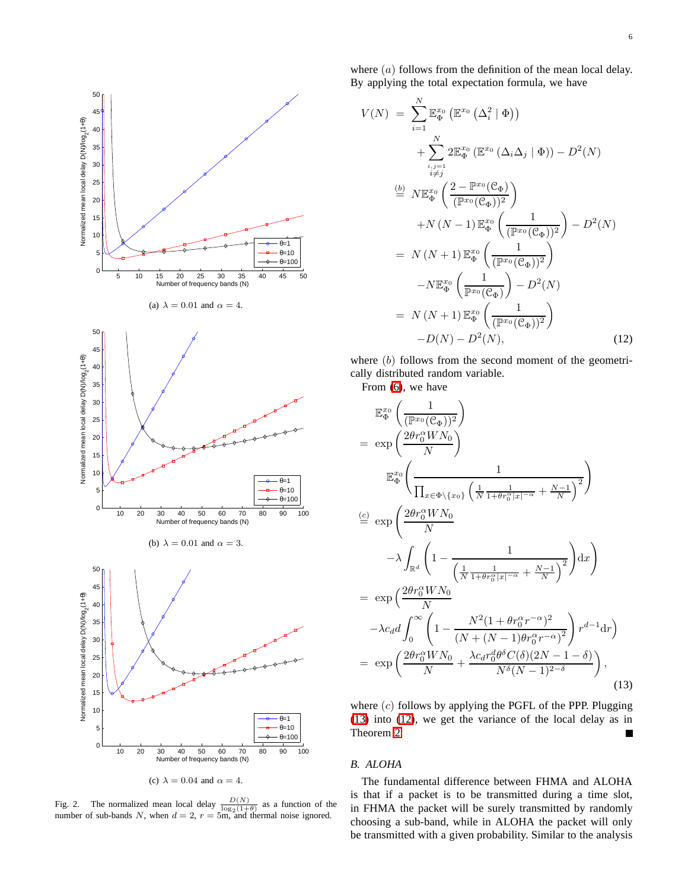<span id="page-5-1"></span>

<span id="page-5-3"></span><span id="page-5-2"></span><span id="page-5-0"></span>Fig. 2. The normalized mean local delay  $\frac{D(N)}{\log_2(1+\theta)}$  as a function of th number of sub-bands N, when  $d = 2$ ,  $r = 5$ m, and thermal noise ignored. as a function of the

<span id="page-5-5"></span>where  $(a)$  follows from the definition of the mean local delay. By applying the total expectation formula, we have

$$
V(N) = \sum_{i=1}^{N} \mathbb{E}_{\Phi}^{x_0} (\mathbb{E}^{x_0} (\Delta_i^2 | \Phi))
$$
  
+  $\sum_{i,j=1 \atop i \neq j}^{N} 2 \mathbb{E}_{\Phi}^{x_0} (\mathbb{E}^{x_0} (\Delta_i \Delta_j | \Phi)) - D^2(N)$   

$$
\stackrel{(b)}{=} N \mathbb{E}_{\Phi}^{x_0} \left( \frac{2 - \mathbb{P}^{x_0} (\mathbb{C}_{\Phi})}{(\mathbb{P}^{x_0} (\mathbb{C}_{\Phi}))^2} \right)
$$
  
+  $N (N - 1) \mathbb{E}_{\Phi}^{x_0} \left( \frac{1}{(\mathbb{P}^{x_0} (\mathbb{C}_{\Phi}))^2} \right) - D^2(N)$   
=  $N (N + 1) \mathbb{E}_{\Phi}^{x_0} \left( \frac{1}{(\mathbb{P}^{x_0} (\mathbb{C}_{\Phi}))^2} \right)$   
-  $N \mathbb{E}_{\Phi}^{x_0} \left( \frac{1}{\mathbb{P}^{x_0} (\mathbb{C}_{\Phi})} \right) - D^2(N)$   
=  $N (N + 1) \mathbb{E}_{\Phi}^{x_0} \left( \frac{1}{(\mathbb{P}^{x_0} (\mathbb{C}_{\Phi}))^2} \right)$   
-  $D(N) - D^2(N)$ , (12)

where  $(b)$  follows from the second moment of the geometrically distributed random variable.

From [\(6\)](#page-3-3), we have

<span id="page-5-4"></span>
$$
\mathbb{E}_{\Phi}^{x_0} \left( \frac{1}{(\mathbb{P}^{x_0}(\mathcal{C}_{\Phi}))^2} \right)
$$
\n
$$
= \exp \left( \frac{2\theta r_0^{\alpha} W N_0}{N} \right)
$$
\n
$$
\mathbb{E}_{\Phi}^{x_0} \left( \frac{1}{\prod_{x \in \Phi \setminus \{x_0\}} \left( \frac{1}{\overline{N} \frac{1}{1 + \theta r_0^{\alpha} |x|^{-\alpha}} + \frac{N-1}{N} \right)^2} \right)
$$
\n
$$
\stackrel{(c)}{=} \exp \left( \frac{2\theta r_0^{\alpha} W N_0}{N} \right)
$$
\n
$$
- \lambda \int_{\mathbb{R}^d} \left( 1 - \frac{1}{\left( \frac{1}{N} \frac{1}{1 + \theta r_0^{\alpha} |x|^{-\alpha}} + \frac{N-1}{N} \right)^2} \right) dx \right)
$$
\n
$$
= \exp \left( \frac{2\theta r_0^{\alpha} W N_0}{N} \right)
$$
\n
$$
- \lambda c_d d \int_0^{\infty} \left( 1 - \frac{N^2 (1 + \theta r_0^{\alpha} r^{-\alpha})^2}{(N + (N-1)\theta r_0^{\alpha} r^{-\alpha})^2} \right) r^{d-1} dr \right)
$$
\n
$$
= \exp \left( \frac{2\theta r_0^{\alpha} W N_0}{N} + \frac{\lambda c_d r_0^d \theta^{\delta} C(\delta) (2N - 1 - \delta)}{N^{\delta} (N - 1)^{2 - \delta}} \right), \tag{13}
$$

where  $(c)$  follows by applying the PGFL of the PPP. Plugging [\(13\)](#page-5-4) into [\(12\)](#page-5-5), we get the variance of the local delay as in Theorem [2.](#page-4-0)  $\blacksquare$ 

## *B. ALOHA*

The fundamental difference between FHMA and ALOHA is that if a packet is to be transmitted during a time slot, in FHMA the packet will be surely transmitted by randomly choosing a sub-band, while in ALOHA the packet will only be transmitted with a given probability. Similar to the analysis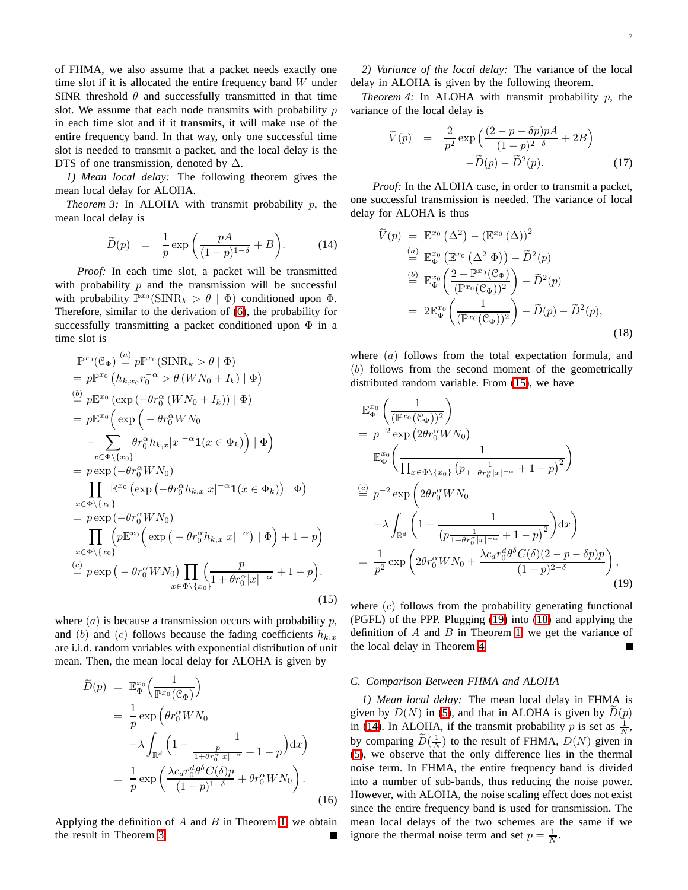of FHMA, we also assume that a packet needs exactly one time slot if it is allocated the entire frequency band W under SINR threshold  $\theta$  and successfully transmitted in that time slot. We assume that each node transmits with probability  $p$ in each time slot and if it transmits, it will make use of the entire frequency band. In that way, only one successful time slot is needed to transmit a packet, and the local delay is the DTS of one transmission, denoted by  $\Delta$ .

*1) Mean local delay:* The following theorem gives the mean local delay for ALOHA.

*Theorem 3:* In ALOHA with transmit probability p, the mean local delay is

<span id="page-6-0"></span>
$$
\widetilde{D}(p) = \frac{1}{p} \exp\left(\frac{pA}{(1-p)^{1-\delta}} + B\right).
$$
 (14)

<span id="page-6-5"></span>*Proof:* In each time slot, a packet will be transmitted with probability  $p$  and the transmission will be successful with probability  $\mathbb{P}^{x_0}(\text{SINR}_k > \theta \mid \Phi)$  conditioned upon  $\Phi$ . Therefore, similar to the derivation of [\(6\)](#page-3-3), the probability for successfully transmitting a packet conditioned upon  $\Phi$  in a time slot is

<span id="page-6-1"></span>
$$
\mathbb{P}^{x_0}(\mathcal{C}_{\Phi}) \stackrel{(a)}{=} p\mathbb{P}^{x_0}(\text{SINR}_k > \theta | \Phi)
$$
\n
$$
= p\mathbb{P}^{x_0} (h_{k,x_0}r_0^{-\alpha} > \theta (WN_0 + I_k) | \Phi)
$$
\n
$$
\stackrel{(b)}{=} p\mathbb{E}^{x_0} (\exp(-\theta r_0^{\alpha} (WN_0 + I_k)) | \Phi)
$$
\n
$$
= p\mathbb{E}^{x_0} (\exp(-\theta r_0^{\alpha} WN_0)
$$
\n
$$
- \sum_{x \in \Phi \setminus \{x_0\}} \theta r_0^{\alpha} h_{k,x} |x|^{-\alpha} \mathbf{1}(x \in \Phi_k) ) | \Phi)
$$
\n
$$
= p \exp(-\theta r_0^{\alpha} WN_0)
$$
\n
$$
\prod_{x \in \Phi \setminus \{x_0\}} \mathbb{E}^{x_0} (\exp(-\theta r_0^{\alpha} h_{k,x} |x|^{-\alpha} \mathbf{1}(x \in \Phi_k)) | \Phi)
$$
\n
$$
= p \exp(-\theta r_0^{\alpha} WN_0)
$$
\n
$$
\prod_{x \in \Phi \setminus \{x_0\}} (p\mathbb{E}^{x_0} (\exp(-\theta r_0^{\alpha} h_{k,x} |x|^{-\alpha}) | \Phi) + 1 - p)
$$
\n
$$
\stackrel{(c)}{=} p \exp(-\theta r_0^{\alpha} WN_0) \prod_{x \in \Phi \setminus \{x_0\}} (\frac{p}{1 + \theta r_0^{\alpha} |x|^{-\alpha}} + 1 - p).
$$
\n(15)

where  $(a)$  is because a transmission occurs with probability p, and (b) and (c) follows because the fading coefficients  $h_{k,x}$ are i.i.d. random variables with exponential distribution of unit mean. Then, the mean local delay for ALOHA is given by

$$
\widetilde{D}(p) = \mathbb{E}_{\Phi}^{x_0} \left( \frac{1}{\mathbb{P}^{x_0}(\mathcal{C}_{\Phi})} \right)
$$
\n
$$
= \frac{1}{p} \exp \left( \theta r_0^{\alpha} W N_0 \right)
$$
\n
$$
- \lambda \int_{\mathbb{R}^d} \left( 1 - \frac{1}{\frac{p}{1 + \theta r_0^{\alpha} |x|^{-\alpha}} + 1 - p} \right) dx
$$
\n
$$
= \frac{1}{p} \exp \left( \frac{\lambda c_d r_0^d \theta^{\delta} C(\delta) p}{(1 - p)^{1 - \delta}} + \theta r_0^{\alpha} W N_0 \right).
$$
\n(16)

Applying the definition of  $A$  and  $B$  in Theorem [1,](#page-3-4) we obtain the result in Theorem [3.](#page-6-0)

*2) Variance of the local delay:* The variance of the local delay in ALOHA is given by the following theorem.

<span id="page-6-6"></span>*Theorem 4:* In ALOHA with transmit probability p, the variance of the local delay is

<span id="page-6-4"></span>
$$
\widetilde{V}(p) = \frac{2}{p^2} \exp\left(\frac{(2-p-\delta p)pA}{(1-p)^{2-\delta}} + 2B\right) - \widetilde{D}(p) - \widetilde{D}^2(p). \tag{17}
$$

<span id="page-6-3"></span>*Proof:* In the ALOHA case, in order to transmit a packet, one successful transmission is needed. The variance of local delay for ALOHA is thus

$$
\widetilde{V}(p) = \mathbb{E}^{x_0} (\Delta^2) - (\mathbb{E}^{x_0} (\Delta))^2
$$
\n
$$
\stackrel{(a)}{=} \mathbb{E}_{\Phi}^{x_0} (\mathbb{E}^{x_0} (\Delta^2 | \Phi)) - \widetilde{D}^2(p)
$$
\n
$$
\stackrel{(b)}{=} \mathbb{E}_{\Phi}^{x_0} \left( \frac{2 - \mathbb{P}^{x_0} (\mathbb{C}_{\Phi})}{(\mathbb{P}^{x_0} (\mathbb{C}_{\Phi}))^2} \right) - \widetilde{D}^2(p)
$$
\n
$$
= 2\mathbb{E}_{\Phi}^{x_0} \left( \frac{1}{(\mathbb{P}^{x_0} (\mathbb{C}_{\Phi}))^2} \right) - \widetilde{D}(p) - \widetilde{D}^2(p),
$$
\n(18)

where  $(a)$  follows from the total expectation formula, and (b) follows from the second moment of the geometrically distributed random variable. From [\(15\)](#page-6-1), we have

<span id="page-6-2"></span>
$$
\mathbb{E}_{\Phi}^{x_0} \left( \frac{1}{(\mathbb{P}^{x_0}(\mathbb{C}_{\Phi}))^2} \right)
$$
\n
$$
= p^{-2} \exp \left( 2\theta r_0^{\alpha} W N_0 \right)
$$
\n
$$
\mathbb{E}_{\Phi}^{x_0} \left( \frac{1}{\prod_{x \in \Phi \setminus \{x_0\}} \left( p \frac{1}{1 + \theta r_0^{\alpha} |x|^{-\alpha}} + 1 - p \right)^2} \right)
$$
\n
$$
\stackrel{(c)}{=} p^{-2} \exp \left( 2\theta r_0^{\alpha} W N_0
$$
\n
$$
- \lambda \int_{\mathbb{R}^d} \left( 1 - \frac{1}{\left( p \frac{1}{1 + \theta r_0^{\alpha} |x|^{-\alpha}} + 1 - p \right)^2} \right) dx \right)
$$
\n
$$
= \frac{1}{p^2} \exp \left( 2\theta r_0^{\alpha} W N_0 + \frac{\lambda c_d r_0^d \theta^{\delta} C(\delta)(2 - p - \delta p) p}{(1 - p)^{2 - \delta}} \right), \tag{19}
$$

where  $(c)$  follows from the probability generating functional (PGFL) of the PPP. Plugging [\(19\)](#page-6-2) into [\(18\)](#page-6-3) and applying the definition of  $A$  and  $B$  in Theorem [1,](#page-3-4) we get the variance of the local delay in Theorem [4.](#page-6-4)

#### *C. Comparison Between FHMA and ALOHA*

*1) Mean local delay:* The mean local delay in FHMA is given by  $D(N)$  in [\(5\)](#page-3-2), and that in ALOHA is given by  $D(p)$ in [\(14\)](#page-6-5). In ALOHA, if the transmit probability p is set as  $\frac{1}{N}$ , by comparing  $\widetilde{D}(\frac{1}{N})$  to the result of FHMA,  $D(N)$  given in [\(5\)](#page-3-2), we observe that the only difference lies in the thermal noise term. In FHMA, the entire frequency band is divided into a number of sub-bands, thus reducing the noise power. However, with ALOHA, the noise scaling effect does not exist since the entire frequency band is used for transmission. The mean local delays of the two schemes are the same if we ignore the thermal noise term and set  $p = \frac{1}{N}$ .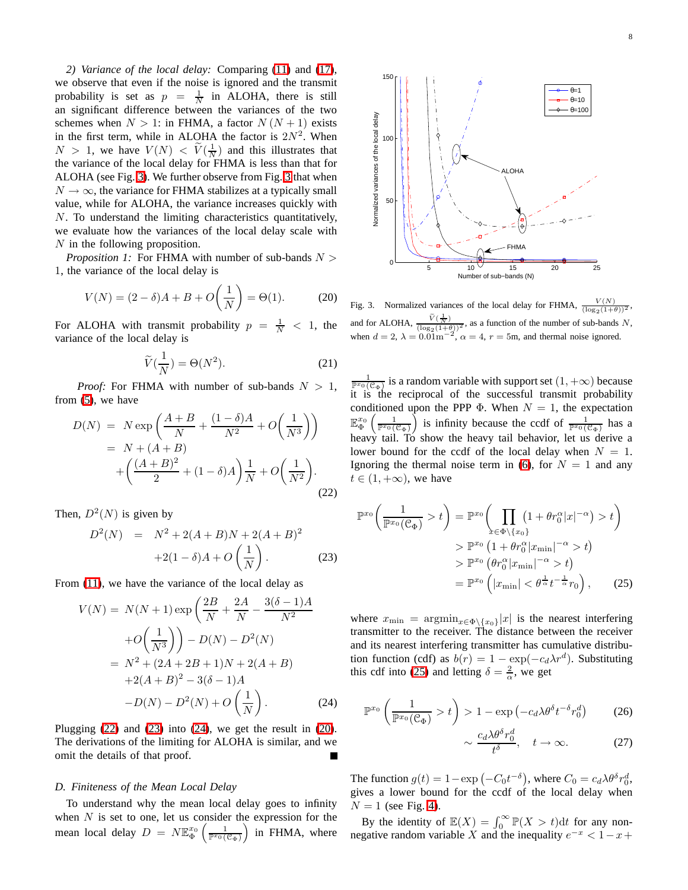*2) Variance of the local delay:* Comparing [\(11\)](#page-4-1) and [\(17\)](#page-6-6), we observe that even if the noise is ignored and the transmit probability is set as  $p = \frac{1}{N}$  in ALOHA, there is still an significant difference between the variances of the two schemes when  $N > 1$ : in FHMA, a factor  $N (N + 1)$  exists in the first term, while in ALOHA the factor is  $2N^2$ . When  $N > 1$ , we have  $V(N) < \widetilde{V}(\frac{1}{N})$  and this illustrates that the variance of the local delay for FHMA is less than that for ALOHA (see Fig. [3\)](#page-7-0). We further observe from Fig. [3](#page-7-0) that when  $N \rightarrow \infty$ , the variance for FHMA stabilizes at a typically small value, while for ALOHA, the variance increases quickly with N. To understand the limiting characteristics quantitatively, we evaluate how the variances of the local delay scale with N in the following proposition.

*Proposition 1:* For FHMA with number of sub-bands  $N >$ 1, the variance of the local delay is

$$
V(N) = (2 - \delta)A + B + O\left(\frac{1}{N}\right) = \Theta(1).
$$
 (20)

<span id="page-7-4"></span>For ALOHA with transmit probability  $p = \frac{1}{N} < 1$ , the variance of the local delay is

$$
\widetilde{V}(\frac{1}{N}) = \Theta(N^2). \tag{21}
$$

<span id="page-7-1"></span>*Proof:* For FHMA with number of sub-bands  $N > 1$ , from [\(5\)](#page-3-2), we have

$$
D(N) = N \exp\left(\frac{A+B}{N} + \frac{(1-\delta)A}{N^2} + O\left(\frac{1}{N^3}\right)\right)
$$
  
=  $N + (A+B)$   
+  $\left(\frac{(A+B)^2}{2} + (1-\delta)A\right)\frac{1}{N} + O\left(\frac{1}{N^2}\right)$ . (22)

<span id="page-7-2"></span>Then,  $D^2(N)$  is given by

$$
D^{2}(N) = N^{2} + 2(A+B)N + 2(A+B)^{2}
$$
  
+2(1 - \delta)A + O\left(\frac{1}{N}\right). (23)

<span id="page-7-3"></span>From [\(11\)](#page-4-1), we have the variance of the local delay as

$$
V(N) = N(N+1) \exp\left(\frac{2B}{N} + \frac{2A}{N} - \frac{3(\delta - 1)A}{N^2}\right)
$$

$$
+O\left(\frac{1}{N^3}\right) - D(N) - D^2(N)
$$

$$
= N^2 + (2A + 2B + 1)N + 2(A + B)
$$

$$
+2(A + B)^2 - 3(\delta - 1)A
$$

$$
-D(N) - D^2(N) + O\left(\frac{1}{N}\right).
$$
(24)

Plugging [\(22\)](#page-7-1) and [\(23\)](#page-7-2) into [\(24\)](#page-7-3), we get the result in [\(20\)](#page-7-4). The derivations of the limiting for ALOHA is similar, and we omit the details of that proof.

### *D. Finiteness of the Mean Local Delay*

To understand why the mean local delay goes to infinity when  $N$  is set to one, let us consider the expression for the mean local delay  $D = N \mathbb{E}_{\Phi}^{x_0} \left( \frac{1}{\mathbb{P}^{x_0}(\mathcal{C}_{\Phi})} \right)$  $\int$  in FHMA, where



<span id="page-7-0"></span>Fig. 3. Normalized variances of the local delay for FHMA,  $\frac{V(N)}{(\log_2(1+\theta))^2}$ , and for ALOHA,  $\frac{\widetilde{V}(\frac{1}{N})}{(\log_2(1+\theta))^2}$ , as a function of the number of sub-bands N, when  $d = 2$ ,  $\lambda = 0.01 \text{m}^{-2}$ ,  $\alpha = 4$ ,  $r = 5 \text{m}$ , and thermal noise ignored.

 $\frac{1}{\mathbb{P}^{x_0}(\mathcal{C}_\Phi)}$  is a random variable with support set  $(1, +\infty)$  because it is the reciprocal of the successful transmit probability conditioned upon the PPP  $\Phi$ . When  $N = 1$ , the expectation  $\mathbb{E}_{\Phi}^{x_0} \left( \frac{1}{\mathbb{P}^{x_0}(\mathcal{C}_{\Phi})} \right)$ is infinity because the ccdf of  $\frac{1}{\mathbb{P}^{x_0}(\mathcal{C}_{\Phi})}$  has a heavy tail. To show the heavy tail behavior, let us derive a lower bound for the ccdf of the local delay when  $N = 1$ . Ignoring the thermal noise term in [\(6\)](#page-3-3), for  $N = 1$  and any  $t \in (1, +\infty)$ , we have

<span id="page-7-5"></span>
$$
\mathbb{P}^{x_0}\left(\frac{1}{\mathbb{P}^{x_0}(\mathcal{C}_{\Phi})}>t\right) = \mathbb{P}^{x_0}\left(\prod_{x \in \Phi \setminus \{x_0\}} (1 + \theta r_0^{\alpha}|x|^{-\alpha}) > t\right)
$$
  
> 
$$
\mathbb{P}^{x_0}\left(1 + \theta r_0^{\alpha}|x_{\min}|^{-\alpha} > t\right)
$$
  
> 
$$
\mathbb{P}^{x_0}\left(\theta r_0^{\alpha}|x_{\min}|^{-\alpha} > t\right)
$$
  
= 
$$
\mathbb{P}^{x_0}\left(|x_{\min}| < \theta^{\frac{1}{\alpha}}t^{-\frac{1}{\alpha}}r_0\right),
$$
 (25)

where  $x_{\min} = \operatorname{argmin}_{x \in \Phi \setminus \{x_0\}} |x|$  is the nearest interfering transmitter to the receiver. The distance between the receiver and its nearest interfering transmitter has cumulative distribution function (cdf) as  $b(r) = 1 - \exp(-c_d \lambda r^d)$ . Substituting this cdf into [\(25\)](#page-7-5) and letting  $\delta = \frac{2}{\alpha}$ , we get

<span id="page-7-6"></span>
$$
\mathbb{P}^{x_0}\left(\frac{1}{\mathbb{P}^{x_0}(\mathcal{C}_\Phi)} > t\right) > 1 - \exp\left(-c_d \lambda \theta^\delta t^{-\delta} r_0^d\right) \tag{26}
$$

$$
\sim \frac{c_d \lambda \theta^\delta r_0^d}{t^\delta}, \quad t \to \infty. \tag{27}
$$

The function  $g(t) = 1 - \exp(-C_0 t^{-\delta})$ , where  $C_0 = c_d \lambda \theta^{\delta} r_0^d$ , gives a lower bound for the ccdf of the local delay when  $N = 1$  (see Fig. [4\)](#page-8-2).

By the identity of  $\mathbb{E}(X) = \int_0^\infty \mathbb{P}(X > t) dt$  for any nonnegative random variable X and the inequality  $e^{-x} < 1-x+$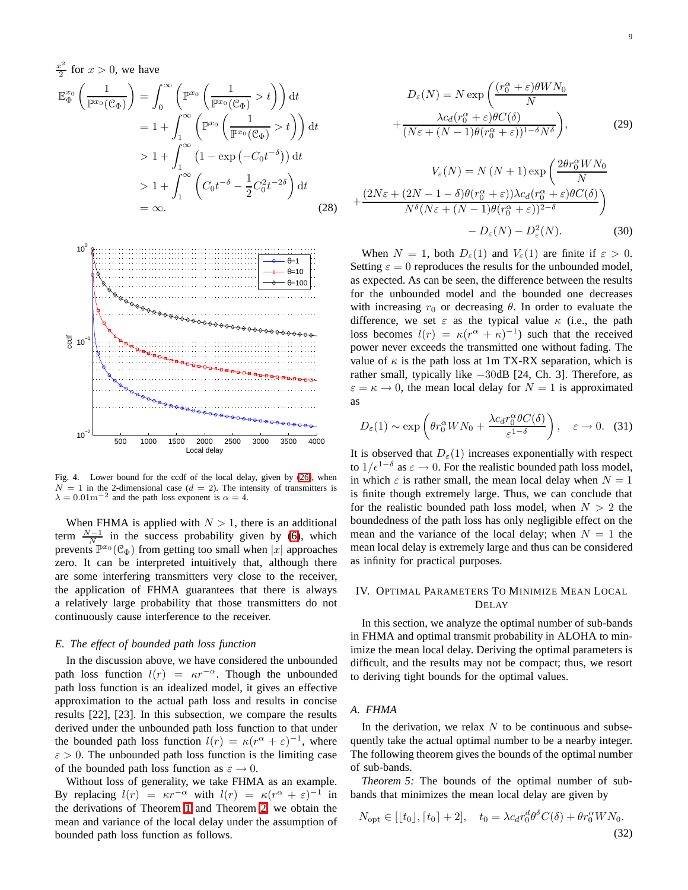$$
\frac{x^2}{2} \text{ for } x > 0, \text{ we have}
$$
\n
$$
\mathbb{E}_{\Phi}^{x_0} \left( \frac{1}{\mathbb{P}^{x_0}(\mathcal{C}_{\Phi})} \right) = \int_0^\infty \left( \mathbb{P}^{x_0} \left( \frac{1}{\mathbb{P}^{x_0}(\mathcal{C}_{\Phi})} > t \right) \right) dt
$$
\n
$$
= 1 + \int_1^\infty \left( \mathbb{P}^{x_0} \left( \frac{1}{\mathbb{P}^{x_0}(\mathcal{C}_{\Phi})} > t \right) \right) dt
$$
\n
$$
> 1 + \int_1^\infty \left( 1 - \exp(-C_0 t^{-\delta}) \right) dt
$$
\n
$$
> 1 + \int_1^\infty \left( C_0 t^{-\delta} - \frac{1}{2} C_0^2 t^{-2\delta} \right) dt
$$
\n
$$
= \infty.
$$
\n(28)



<span id="page-8-2"></span>Fig. 4. Lower bound for the ccdf of the local delay, given by [\(26\)](#page-7-6), when  $N = 1$  in the 2-dimensional case ( $d = 2$ ). The intensity of transmitters is  $\lambda = 0.01$ m<sup>-2</sup> and the path loss exponent is  $\alpha = 4$ .

When FHMA is applied with  $N > 1$ , there is an additional term  $\frac{N-1}{N}$  in the success probability given by [\(6\)](#page-3-3), which prevents  $\mathbb{P}^{x_0}(\mathcal{C}_{\Phi})$  from getting too small when  $|x|$  approaches zero. It can be interpreted intuitively that, although there are some interfering transmitters very close to the receiver, the application of FHMA guarantees that there is always a relatively large probability that those transmitters do not continuously cause interference to the receiver.

## <span id="page-8-1"></span>*E. The effect of bounded path loss function*

In the discussion above, we have considered the unbounded path loss function  $l(r) = \kappa r^{-\alpha}$ . Though the unbounded path loss function is an idealized model, it gives an effective approximation to the actual path loss and results in concise results [22], [23]. In this subsection, we compare the results derived under the unbounded path loss function to that under the bounded path loss function  $l(r) = \kappa (r^{\alpha} + \varepsilon)^{-1}$ , where  $\varepsilon > 0$ . The unbounded path loss function is the limiting case of the bounded path loss function as  $\varepsilon \to 0$ .

Without loss of generality, we take FHMA as an example. By replacing  $l(r) = \kappa r^{-\alpha}$  with  $l(r) = \kappa (r^{\alpha} + \varepsilon)^{-1}$  in the derivations of Theorem [1](#page-3-4) and Theorem [2,](#page-4-0) we obtain the mean and variance of the local delay under the assumption of bounded path loss function as follows.

$$
D_{\varepsilon}(N) = N \exp\left(\frac{(r_0^{\alpha} + \varepsilon)\theta W N_0}{N} + \frac{\lambda c_d (r_0^{\alpha} + \varepsilon)\theta C(\delta)}{(N\varepsilon + (N-1)\theta(r_0^{\alpha} + \varepsilon))^{1-\delta} N^{\delta}}\right),
$$
(29)

$$
V_{\varepsilon}(N) = N (N + 1) \exp\left(\frac{2\theta r_0^{\alpha} W N_0}{N} + \frac{(2N\varepsilon + (2N - 1 - \delta)\theta (r_0^{\alpha} + \varepsilon))\lambda c_d (r_0^{\alpha} + \varepsilon)\theta C(\delta)}{N^{\delta}(N\varepsilon + (N - 1)\theta (r_0^{\alpha} + \varepsilon))^{2 - \delta}}\right) - D_{\varepsilon}(N) - D_{\varepsilon}^2(N).
$$
 (30)

When  $N = 1$ , both  $D_{\varepsilon}(1)$  and  $V_{\varepsilon}(1)$  are finite if  $\varepsilon > 0$ . Setting  $\varepsilon = 0$  reproduces the results for the unbounded model, as expected. As can be seen, the difference between the results for the unbounded model and the bounded one decreases with increasing  $r_0$  or decreasing  $\theta$ . In order to evaluate the difference, we set  $\varepsilon$  as the typical value  $\kappa$  (i.e., the path loss becomes  $l(r) = \kappa (r^{\alpha} + \kappa)^{-1}$  such that the received power never exceeds the transmitted one without fading. The value of  $\kappa$  is the path loss at 1m TX-RX separation, which is rather small, typically like −30dB [24, Ch. 3]. Therefore, as  $\varepsilon = \kappa \to 0$ , the mean local delay for  $N = 1$  is approximated as

$$
D_{\varepsilon}(1) \sim \exp\left(\theta r_0^{\alpha} W N_0 + \frac{\lambda c_d r_0^{\alpha} \theta C(\delta)}{\varepsilon^{1-\delta}}\right), \quad \varepsilon \to 0. \quad (31)
$$

It is observed that  $D_{\varepsilon}(1)$  increases exponentially with respect to  $1/\epsilon^{1-\delta}$  as  $\varepsilon \to 0$ . For the realistic bounded path loss model, in which  $\varepsilon$  is rather small, the mean local delay when  $N = 1$ is finite though extremely large. Thus, we can conclude that for the realistic bounded path loss model, when  $N > 2$  the boundedness of the path loss has only negligible effect on the mean and the variance of the local delay; when  $N = 1$  the mean local delay is extremely large and thus can be considered as infinity for practical purposes.

## <span id="page-8-0"></span>IV. OPTIMAL PARAMETERS TO MINIMIZE MEAN LOCAL DELAY

In this section, we analyze the optimal number of sub-bands in FHMA and optimal transmit probability in ALOHA to minimize the mean local delay. Deriving the optimal parameters is difficult, and the results may not be compact; thus, we resort to deriving tight bounds for the optimal values.

## *A. FHMA*

In the derivation, we relax  $N$  to be continuous and subsequently take the actual optimal number to be a nearby integer. The following theorem gives the bounds of the optimal number of sub-bands.

*Theorem 5:* The bounds of the optimal number of subbands that minimizes the mean local delay are given by

<span id="page-8-3"></span>
$$
N_{\rm opt} \in [[t_0], [t_0] + 2], \quad t_0 = \lambda c_d r_0^d \theta^\delta C(\delta) + \theta r_0^\alpha W N_0. \tag{32}
$$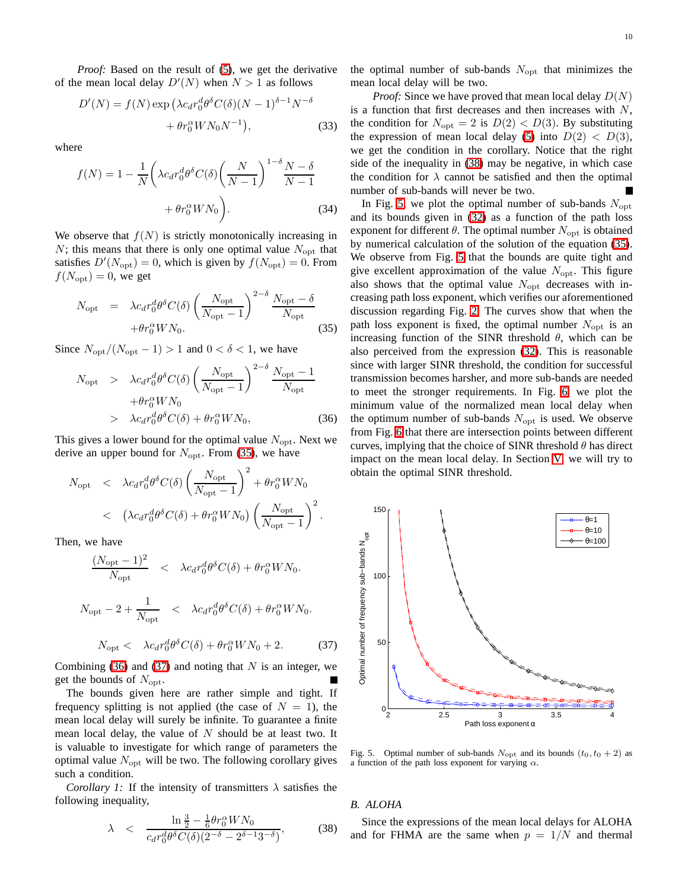*Proof:* Based on the result of [\(5\)](#page-3-2), we get the derivative of the mean local delay  $D'(N)$  when  $N > 1$  as follows

$$
D'(N) = f(N) \exp \left(\lambda c_d r_0^d \theta^\delta C(\delta) (N-1)^{\delta-1} N^{-\delta} + \theta r_0^\alpha W N_0 N^{-1}\right),
$$
\n(33)

where

$$
f(N) = 1 - \frac{1}{N} \left( \lambda c_d r_0^d \theta^\delta C(\delta) \left( \frac{N}{N-1} \right)^{1-\delta} \frac{N-\delta}{N-1} + \theta r_0^\alpha W N_0 \right).
$$
 (34)

We observe that  $f(N)$  is strictly monotonically increasing in  $N$ ; this means that there is only one optimal value  $N_{\text{opt}}$  that satisfies  $D'(N_{\text{opt}}) = 0$ , which is given by  $f(N_{\text{opt}}) = 0$ . From  $f(N_{\text{opt}}) = 0$ , we get

$$
N_{\rm opt} = \lambda c_d r_0^d \theta^\delta C(\delta) \left(\frac{N_{\rm opt}}{N_{\rm opt} - 1}\right)^{2-\delta} \frac{N_{\rm opt} - \delta}{N_{\rm opt}} + \theta r_0^\alpha W N_0.
$$
 (35)

<span id="page-9-1"></span><span id="page-9-0"></span>Since  $N_{\text{opt}}/(N_{\text{opt}} - 1) > 1$  and  $0 < \delta < 1$ , we have

$$
N_{\rm opt} > \lambda c_d r_0^d \theta^\delta C(\delta) \left(\frac{N_{\rm opt}}{N_{\rm opt} - 1}\right)^{2-\delta} \frac{N_{\rm opt} - 1}{N_{\rm opt}} + \theta r_0^\alpha W N_0 > \lambda c_d r_0^d \theta^\delta C(\delta) + \theta r_0^\alpha W N_0,
$$
 (36)

This gives a lower bound for the optimal value  $N_{\text{opt}}$ . Next we derive an upper bound for  $N_{\text{opt}}$ . From [\(35\)](#page-9-0), we have

$$
N_{\rm opt} < \lambda c_d r_0^d \theta^\delta C(\delta) \left(\frac{N_{\rm opt}}{N_{\rm opt} - 1}\right)^2 + \theta r_0^\alpha W N_0
$$
\n
$$
< \left(\lambda c_d r_0^d \theta^\delta C(\delta) + \theta r_0^\alpha W N_0\right) \left(\frac{N_{\rm opt}}{N_{\rm opt} - 1}\right)^2.
$$

Then, we have

$$
\frac{(N_{\rm opt} - 1)^2}{N_{\rm opt}} < \lambda c_d r_0^d \theta^\delta C(\delta) + \theta r_0^\alpha W N_0.
$$
  

$$
N_{\rm opt} - 2 + \frac{1}{N_{\rm opt}} < \lambda c_d r_0^d \theta^\delta C(\delta) + \theta r_0^\alpha W N_0.
$$

$$
N_{\rm opt} < \lambda c_d r_0^d \theta^\delta C(\delta) + \theta r_0^\alpha W N_0 + 2. \tag{37}
$$
\nhining (36) and (37) and noting that N is an integer, we

<span id="page-9-2"></span>Combining [\(36\)](#page-9-1) and [\(37\)](#page-9-2) and noting that  $N$  is an integer, we get the bounds of  $N_{\text{opt}}$ .

The bounds given here are rather simple and tight. If frequency splitting is not applied (the case of  $N = 1$ ), the mean local delay will surely be infinite. To guarantee a finite mean local delay, the value of  $N$  should be at least two. It is valuable to investigate for which range of parameters the optimal value  $N_{\text{opt}}$  will be two. The following corollary gives such a condition.

<span id="page-9-3"></span>*Corollary 1:* If the intensity of transmitters  $\lambda$  satisfies the following inequality,

$$
\lambda < \frac{\ln\frac{3}{2} - \frac{1}{6}\theta r_0^{\alpha} W N_0}{c_d r_0^d \theta^{\delta} C(\delta) (2^{-\delta} - 2^{\delta - 1} 3^{-\delta})},\tag{38}
$$

the optimal number of sub-bands  $N_{\text{opt}}$  that minimizes the mean local delay will be two.

*Proof:* Since we have proved that mean local delay  $D(N)$ is a function that first decreases and then increases with  $N$ , the condition for  $N_{\text{opt}} = 2$  is  $D(2) < D(3)$ . By substituting the expression of mean local delay [\(5\)](#page-3-2) into  $D(2) < D(3)$ , we get the condition in the corollary. Notice that the right side of the inequality in [\(38\)](#page-9-3) may be negative, in which case the condition for  $\lambda$  cannot be satisfied and then the optimal number of sub-bands will never be two.

In Fig. [5,](#page-9-4) we plot the optimal number of sub-bands  $N_{\text{opt}}$ and its bounds given in [\(32\)](#page-8-3) as a function of the path loss exponent for different  $\theta$ . The optimal number  $N_{\text{opt}}$  is obtained by numerical calculation of the solution of the equation [\(35\)](#page-9-0). We observe from Fig. [5](#page-9-4) that the bounds are quite tight and give excellent approximation of the value  $N_{\text{opt}}$ . This figure also shows that the optimal value  $N_{\text{opt}}$  decreases with increasing path loss exponent, which verifies our aforementioned discussion regarding Fig. [2.](#page-5-0) The curves show that when the path loss exponent is fixed, the optimal number  $N_{\text{opt}}$  is an increasing function of the SINR threshold  $\theta$ , which can be also perceived from the expression [\(32\)](#page-8-3). This is reasonable since with larger SINR threshold, the condition for successful transmission becomes harsher, and more sub-bands are needed to meet the stronger requirements. In Fig. [6,](#page-10-1) we plot the minimum value of the normalized mean local delay when the optimum number of sub-bands  $N_{\text{opt}}$  is used. We observe from Fig. [6](#page-10-1) that there are intersection points between different curves, implying that the choice of SINR threshold  $\theta$  has direct impact on the mean local delay. In Section [V,](#page-10-0) we will try to obtain the optimal SINR threshold.



<span id="page-9-4"></span>Fig. 5. Optimal number of sub-bands  $N_{\text{opt}}$  and its bounds  $(t_0, t_0 + 2)$  as a function of the path loss exponent for varying  $\alpha$ .

## *B. ALOHA*

Since the expressions of the mean local delays for ALOHA and for FHMA are the same when  $p = 1/N$  and thermal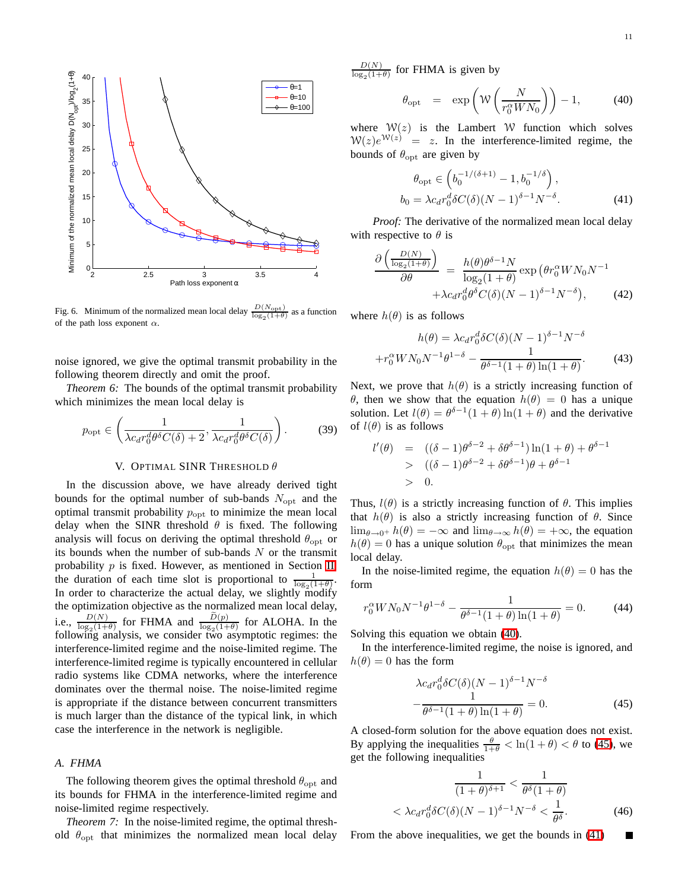

<span id="page-10-1"></span>Fig. 6. Minimum of the normalized mean local delay  $\frac{D(N_{\text{opt}})}{\log_2(1+\theta)}$  as a function of the path loss exponent  $\alpha$ .

noise ignored, we give the optimal transmit probability in the following theorem directly and omit the proof.

*Theorem 6:* The bounds of the optimal transmit probability which minimizes the mean local delay is

$$
p_{\rm opt} \in \left(\frac{1}{\lambda c_d r_0^d \theta^\delta C(\delta) + 2}, \frac{1}{\lambda c_d r_0^d \theta^\delta C(\delta)}\right). \tag{39}
$$

## V. OPTIMAL SINR THRESHOLD  $\theta$

<span id="page-10-0"></span>In the discussion above, we have already derived tight bounds for the optimal number of sub-bands  $N_{\text{opt}}$  and the optimal transmit probability  $p_{opt}$  to minimize the mean local delay when the SINR threshold  $\theta$  is fixed. The following analysis will focus on deriving the optimal threshold  $\theta_{\rm opt}$  or its bounds when the number of sub-bands  $N$  or the transmit probability  $p$  is fixed. However, as mentioned in Section [II,](#page-2-0) the duration of each time slot is proportional to  $\frac{1}{\log_2(1+\theta)}$ . In order to characterize the actual delay, we slightly modify the optimization objective as the normalized mean local delay, i.e.,  $\frac{D(N)}{\log_2(1+\theta)}$  for FHMA and  $\frac{\tilde{D}(p)}{\log_2(1+\theta)}$  for ALOHA. In the following analysis, we consider two asymptotic regimes: the interference-limited regime and the noise-limited regime. The interference-limited regime is typically encountered in cellular radio systems like CDMA networks, where the interference dominates over the thermal noise. The noise-limited regime is appropriate if the distance between concurrent transmitters is much larger than the distance of the typical link, in which case the interference in the network is negligible.

## *A. FHMA*

The following theorem gives the optimal threshold  $\theta_{\rm opt}$  and its bounds for FHMA in the interference-limited regime and noise-limited regime respectively.

*Theorem 7:* In the noise-limited regime, the optimal threshold  $\theta_{\text{opt}}$  that minimizes the normalized mean local delay

 $D(N)$  $\frac{D(N)}{\log_2(1+\theta)}$  for FHMA is given by

$$
\theta_{\rm opt} = \exp\left(W\left(\frac{N}{r_0^{\alpha}WN_0}\right)\right) - 1,\tag{40}
$$

<span id="page-10-2"></span>where  $W(z)$  is the Lambert W function which solves  $W(z)e^{W(z)} = z$ . In the interference-limited regime, the bounds of  $\theta_{\rm opt}$  are given by

$$
\theta_{\rm opt} \in \left( b_0^{-1/(\delta+1)} - 1, b_0^{-1/\delta} \right), \n b_0 = \lambda c_d r_0^d \delta C(\delta) (N-1)^{\delta-1} N^{-\delta}.
$$
\n(41)

<span id="page-10-4"></span>*Proof:* The derivative of the normalized mean local delay with respective to  $\theta$  is

$$
\frac{\partial \left(\frac{D(N)}{\log_2(1+\theta)}\right)}{\partial \theta} = \frac{h(\theta)\theta^{\delta-1}N}{\log_2(1+\theta)} \exp\left(\theta r_0^{\alpha}WN_0N^{-1} + \lambda c_d r_0^d \theta^{\delta} C(\delta)(N-1)^{\delta-1}N^{-\delta}\right), \tag{42}
$$

where  $h(\theta)$  is as follows

$$
h(\theta) = \lambda c_d r_0^d \delta C(\delta) (N-1)^{\delta-1} N^{-\delta}
$$

$$
+ r_0^{\alpha} W N_0 N^{-1} \theta^{1-\delta} - \frac{1}{\theta^{\delta-1} (1+\theta) \ln(1+\theta)}.
$$
(43)

Next, we prove that  $h(\theta)$  is a strictly increasing function of θ, then we show that the equation  $h(θ) = 0$  has a unique solution. Let  $l(\theta) = \theta^{\delta-1}(1+\theta)\ln(1+\theta)$  and the derivative of  $l(\theta)$  is as follows

$$
l'(\theta) = ((\delta - 1)\theta^{\delta - 2} + \delta \theta^{\delta - 1})\ln(1 + \theta) + \theta^{\delta - 1}
$$
  
> 
$$
((\delta - 1)\theta^{\delta - 2} + \delta \theta^{\delta - 1})\theta + \theta^{\delta - 1}
$$
  
> 0.

Thus,  $l(\theta)$  is a strictly increasing function of  $\theta$ . This implies that  $h(\theta)$  is also a strictly increasing function of  $\theta$ . Since  $\lim_{\theta \to 0^+} h(\theta) = -\infty$  and  $\lim_{\theta \to \infty} h(\theta) = +\infty$ , the equation  $h(\theta) = 0$  has a unique solution  $\theta_{\rm opt}$  that minimizes the mean local delay.

In the noise-limited regime, the equation  $h(\theta) = 0$  has the form

$$
r_0^{\alpha} W N_0 N^{-1} \theta^{1-\delta} - \frac{1}{\theta^{\delta-1} (1+\theta) \ln(1+\theta)} = 0.
$$
 (44)

Solving this equation we obtain [\(40\)](#page-10-2).

<span id="page-10-3"></span>In the interference-limited regime, the noise is ignored, and  $h(\theta) = 0$  has the form

$$
\lambda c_d r_0^d \delta C(\delta)(N-1)^{\delta-1} N^{-\delta}
$$

$$
-\frac{1}{\theta^{\delta-1}(1+\theta)\ln(1+\theta)} = 0.
$$
(45)

A closed-form solution for the above equation does not exist. By applying the inequalities  $\frac{\theta}{1+\theta} < \ln(1+\theta) < \theta$  to [\(45\)](#page-10-3), we get the following inequalities

$$
\frac{1}{(1+\theta)^{\delta+1}} < \frac{1}{\theta^{\delta}(1+\theta)}
$$
\n
$$
< \lambda c_d r_0^d \delta C(\delta)(N-1)^{\delta-1} N^{-\delta} < \frac{1}{\theta^{\delta}}.\tag{46}
$$

From the above inequalities, we get the bounds in [\(41\)](#page-10-4)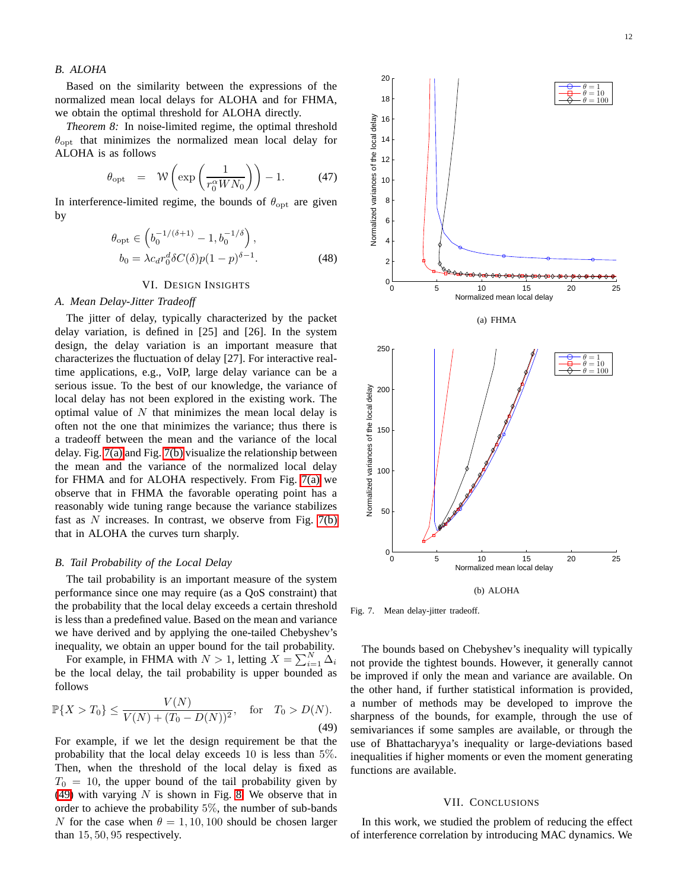## *B. ALOHA*

Based on the similarity between the expressions of the normalized mean local delays for ALOHA and for FHMA, we obtain the optimal threshold for ALOHA directly.

*Theorem 8:* In noise-limited regime, the optimal threshold  $\theta_{\rm opt}$  that minimizes the normalized mean local delay for ALOHA is as follows

$$
\theta_{\rm opt} = \mathcal{W}\left(\exp\left(\frac{1}{r_0^{\alpha}WN_0}\right)\right) - 1. \tag{47}
$$

In interference-limited regime, the bounds of  $\theta_{\rm opt}$  are given by

$$
\theta_{\rm opt} \in \left( b_0^{-1/(\delta+1)} - 1, b_0^{-1/\delta} \right), \n b_0 = \lambda c_d r_0^d \delta C(\delta) p (1 - p)^{\delta - 1}.
$$
\n(48)

#### VI. DESIGN INSIGHTS

## <span id="page-11-0"></span>*A. Mean Delay-Jitter Tradeoff*

The jitter of delay, typically characterized by the packet delay variation, is defined in [25] and [26]. In the system design, the delay variation is an important measure that characterizes the fluctuation of delay [27]. For interactive realtime applications, e.g., VoIP, large delay variance can be a serious issue. To the best of our knowledge, the variance of local delay has not been explored in the existing work. The optimal value of  $N$  that minimizes the mean local delay is often not the one that minimizes the variance; thus there is a tradeoff between the mean and the variance of the local delay. Fig. [7\(a\)](#page-11-2) and Fig. [7\(b\)](#page-11-3) visualize the relationship between the mean and the variance of the normalized local delay for FHMA and for ALOHA respectively. From Fig. [7\(a\)](#page-11-2) we observe that in FHMA the favorable operating point has a reasonably wide tuning range because the variance stabilizes fast as  $N$  increases. In contrast, we observe from Fig.  $7(b)$ that in ALOHA the curves turn sharply.

#### *B. Tail Probability of the Local Delay*

The tail probability is an important measure of the system performance since one may require (as a QoS constraint) that the probability that the local delay exceeds a certain threshold is less than a predefined value. Based on the mean and variance we have derived and by applying the one-tailed Chebyshev's inequality, we obtain an upper bound for the tail probability.

For example, in FHMA with  $N > 1$ , letting  $X = \sum_{i=1}^{N} \Delta_i$ be the local delay, the tail probability is upper bounded as follows

<span id="page-11-4"></span>
$$
\mathbb{P}\{X > T_0\} \le \frac{V(N)}{V(N) + (T_0 - D(N))^2}, \quad \text{for} \quad T_0 > D(N). \tag{49}
$$

For example, if we let the design requirement be that the probability that the local delay exceeds 10 is less than 5%. Then, when the threshold of the local delay is fixed as  $T_0 = 10$ , the upper bound of the tail probability given by [\(49\)](#page-11-4) with varying  $N$  is shown in Fig. [8.](#page-12-0) We observe that in order to achieve the probability 5%, the number of sub-bands N for the case when  $\theta = 1, 10, 100$  should be chosen larger than 15, 50, 95 respectively.

<span id="page-11-2"></span>

<span id="page-11-3"></span>Fig. 7. Mean delay-jitter tradeoff.

The bounds based on Chebyshev's inequality will typically not provide the tightest bounds. However, it generally cannot be improved if only the mean and variance are available. On the other hand, if further statistical information is provided, a number of methods may be developed to improve the sharpness of the bounds, for example, through the use of semivariances if some samples are available, or through the use of Bhattacharyya's inequality or large-deviations based inequalities if higher moments or even the moment generating functions are available.

### VII. CONCLUSIONS

<span id="page-11-1"></span>In this work, we studied the problem of reducing the effect of interference correlation by introducing MAC dynamics. We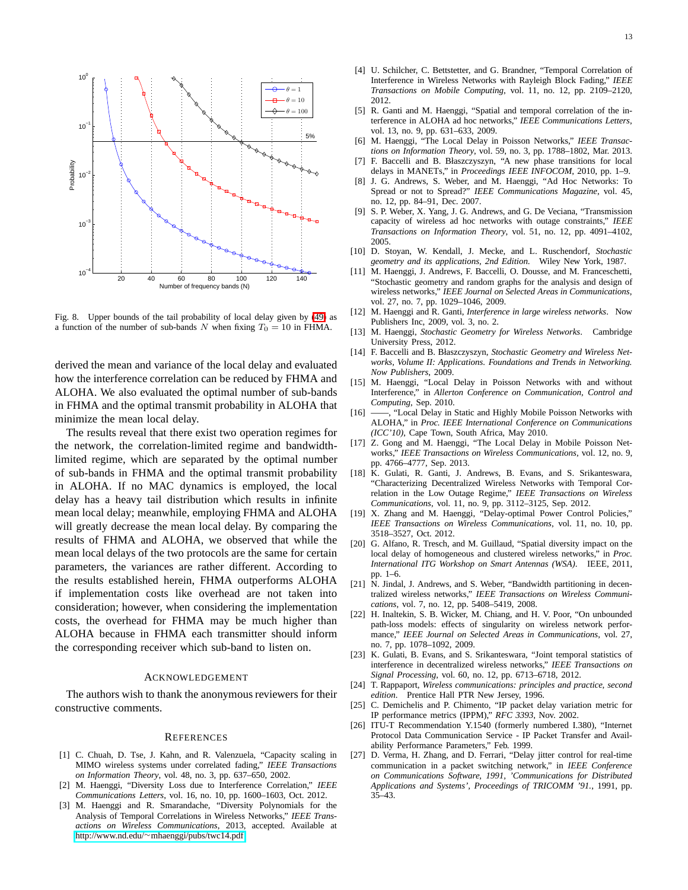

<span id="page-12-0"></span>Fig. 8. Upper bounds of the tail probability of local delay given by [\(49\)](#page-11-4) as a function of the number of sub-bands N when fixing  $T_0 = 10$  in FHMA.

derived the mean and variance of the local delay and evaluated how the interference correlation can be reduced by FHMA and ALOHA. We also evaluated the optimal number of sub-bands in FHMA and the optimal transmit probability in ALOHA that minimize the mean local delay.

The results reveal that there exist two operation regimes for the network, the correlation-limited regime and bandwidthlimited regime, which are separated by the optimal number of sub-bands in FHMA and the optimal transmit probability in ALOHA. If no MAC dynamics is employed, the local delay has a heavy tail distribution which results in infinite mean local delay; meanwhile, employing FHMA and ALOHA will greatly decrease the mean local delay. By comparing the results of FHMA and ALOHA, we observed that while the mean local delays of the two protocols are the same for certain parameters, the variances are rather different. According to the results established herein, FHMA outperforms ALOHA if implementation costs like overhead are not taken into consideration; however, when considering the implementation costs, the overhead for FHMA may be much higher than ALOHA because in FHMA each transmitter should inform the corresponding receiver which sub-band to listen on.

## ACKNOWLEDGEMENT

The authors wish to thank the anonymous reviewers for their constructive comments.

#### **REFERENCES**

- [1] C. Chuah, D. Tse, J. Kahn, and R. Valenzuela, "Capacity scaling in MIMO wireless systems under correlated fading," *IEEE Transactions on Information Theory*, vol. 48, no. 3, pp. 637–650, 2002.
- [2] M. Haenggi, "Diversity Loss due to Interference Correlation," *IEEE Communications Letters*, vol. 16, no. 10, pp. 1600–1603, Oct. 2012.
- [3] M. Haenggi and R. Smarandache, "Diversity Polynomials for the Analysis of Temporal Correlations in Wireless Networks," *IEEE Transactions on Wireless Communications*, 2013, accepted. Available at http://www.nd.edu/∼[mhaenggi/pubs/twc14.pdf.](http://www.nd.edu/~mhaenggi/pubs/twc14.pdf)
- [4] U. Schilcher, C. Bettstetter, and G. Brandner, "Temporal Correlation of Interference in Wireless Networks with Rayleigh Block Fading," *IEEE Transactions on Mobile Computing*, vol. 11, no. 12, pp. 2109–2120, 2012.
- [5] R. Ganti and M. Haenggi, "Spatial and temporal correlation of the interference in ALOHA ad hoc networks," *IEEE Communications Letters*, vol. 13, no. 9, pp. 631–633, 2009.
- [6] M. Haenggi, "The Local Delay in Poisson Networks," *IEEE Transactions on Information Theory*, vol. 59, no. 3, pp. 1788–1802, Mar. 2013. [7] F. Baccelli and B. Błaszczyszyn, "A new phase transitions for local
- delays in MANETs," in *Proceedings IEEE INFOCOM*, 2010, pp. 1–9. [8] J. G. Andrews, S. Weber, and M. Haenggi, "Ad Hoc Networks: To
- Spread or not to Spread?" *IEEE Communications Magazine*, vol. 45, no. 12, pp. 84–91, Dec. 2007.
- [9] S. P. Weber, X. Yang, J. G. Andrews, and G. De Veciana, "Transmission capacity of wireless ad hoc networks with outage constraints," *IEEE Transactions on Information Theory*, vol. 51, no. 12, pp. 4091–4102, 2005.
- [10] D. Stoyan, W. Kendall, J. Mecke, and L. Ruschendorf, *Stochastic geometry and its applications, 2nd Edition*. Wiley New York, 1987.
- [11] M. Haenggi, J. Andrews, F. Baccelli, O. Dousse, and M. Franceschetti, "Stochastic geometry and random graphs for the analysis and design of wireless networks," *IEEE Journal on Selected Areas in Communications*, vol. 27, no. 7, pp. 1029–1046, 2009.
- [12] M. Haenggi and R. Ganti, *Interference in large wireless networks*. Now Publishers Inc, 2009, vol. 3, no. 2.
- [13] M. Haenggi, *Stochastic Geometry for Wireless Networks*. Cambridge University Press, 2012.
- [14] F. Baccelli and B. Błaszczyszyn, *Stochastic Geometry and Wireless Networks, Volume II: Applications. Foundations and Trends in Networking. Now Publishers*, 2009.
- [15] M. Haenggi, "Local Delay in Poisson Networks with and without Interference," in *Allerton Conference on Communication, Control and Computing*, Sep. 2010.
- [16] ——, "Local Delay in Static and Highly Mobile Poisson Networks with ALOHA," in *Proc. IEEE International Conference on Communications (ICC'10)*, Cape Town, South Africa, May 2010.
- [17] Z. Gong and M. Haenggi, "The Local Delay in Mobile Poisson Networks," *IEEE Transactions on Wireless Communications*, vol. 12, no. 9, pp. 4766–4777, Sep. 2013.
- [18] K. Gulati, R. Ganti, J. Andrews, B. Evans, and S. Srikanteswara, "Characterizing Decentralized Wireless Networks with Temporal Correlation in the Low Outage Regime," *IEEE Transactions on Wireless Communications*, vol. 11, no. 9, pp. 3112–3125, Sep. 2012.
- [19] X. Zhang and M. Haenggi, "Delay-optimal Power Control Policies," *IEEE Transactions on Wireless Communications*, vol. 11, no. 10, pp. 3518–3527, Oct. 2012.
- [20] G. Alfano, R. Tresch, and M. Guillaud, "Spatial diversity impact on the local delay of homogeneous and clustered wireless networks," in *Proc. International ITG Workshop on Smart Antennas (WSA)*. IEEE, 2011, pp. 1–6.
- [21] N. Jindal, J. Andrews, and S. Weber, "Bandwidth partitioning in decentralized wireless networks," *IEEE Transactions on Wireless Communications*, vol. 7, no. 12, pp. 5408–5419, 2008.
- [22] H. Inaltekin, S. B. Wicker, M. Chiang, and H. V. Poor, "On unbounded path-loss models: effects of singularity on wireless network performance," *IEEE Journal on Selected Areas in Communications*, vol. 27, no. 7, pp. 1078–1092, 2009.
- [23] K. Gulati, B. Evans, and S. Srikanteswara, "Joint temporal statistics of interference in decentralized wireless networks," *IEEE Transactions on Signal Processing*, vol. 60, no. 12, pp. 6713–6718, 2012.
- [24] T. Rappaport, *Wireless communications: principles and practice, second edition*. Prentice Hall PTR New Jersey, 1996.
- [25] C. Demichelis and P. Chimento, "IP packet delay variation metric for IP performance metrics (IPPM)," *RFC 3393*, Nov. 2002.
- [26] ITU-T Recommendation Y.1540 (formerly numbered I.380), "Internet Protocol Data Communication Service - IP Packet Transfer and Availability Performance Parameters," Feb. 1999.
- [27] D. Verma, H. Zhang, and D. Ferrari, "Delay jitter control for real-time communication in a packet switching network," in *IEEE Conference on Communications Software, 1991, 'Communications for Distributed Applications and Systems', Proceedings of TRICOMM '91.*, 1991, pp. 35–43.